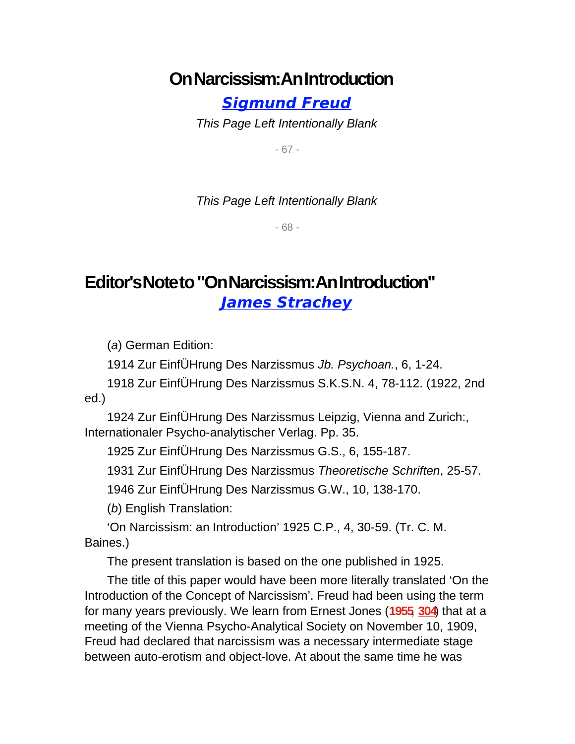# **On Narcissism: An Introduction**

**[Sigmund Freud](http://www.pep-web.org.libproxy.newschool.edu/search.php?author=%22Freud%2C+S.%22)**

This Page Left Intentionally Blank

- 67 -

This Page Left Intentionally Blank

- 68 -

# **Editor's Note to "On Narcissism: An Introduction" [James Strachey](http://www.pep-web.org.libproxy.newschool.edu/search.php?author=%22Strachey%2C+J.%22)**

(a) German Edition:

1914 Zur EinfÜHrung Des Narzissmus Jb. Psychoan., 6, 1-24.

1918 Zur EinfÜHrung Des Narzissmus S.K.S.N. 4, 78-112. (1922, 2nd ed.)

1924 Zur EinfÜHrung Des Narzissmus Leipzig, Vienna and Zurich:, Internationaler Psycho-analytischer Verlag. Pp. 35.

1925 Zur EinfÜHrung Des Narzissmus G.S., 6, 155-187.

1931 Zur EinfÜHrung Des Narzissmus Theoretische Schriften, 25-57.

1946 Zur EinfÜHrung Des Narzissmus G.W., 10, 138-170.

(b) English Translation:

'On Narcissism: an Introduction' 1925 C.P., 4, 30-59. (Tr. C. M. Baines.)

The present translation is based on the one published in 1925.

The title of this paper would have been more literally translated 'On the Introduction of the Concept of Narcissism'. Freud had been using the term for many years previously. We learn from Ernest Jones (**1955**, **[304](http://www.pep-web.org.libproxy.newschool.edu/document.php?id=zbk.046.0001a#p0304)**) that at a meeting of the Vienna Psycho-Analytical Society on November 10, 1909, Freud had declared that narcissism was a necessary intermediate stage between auto-erotism and object-love. At about the same time he was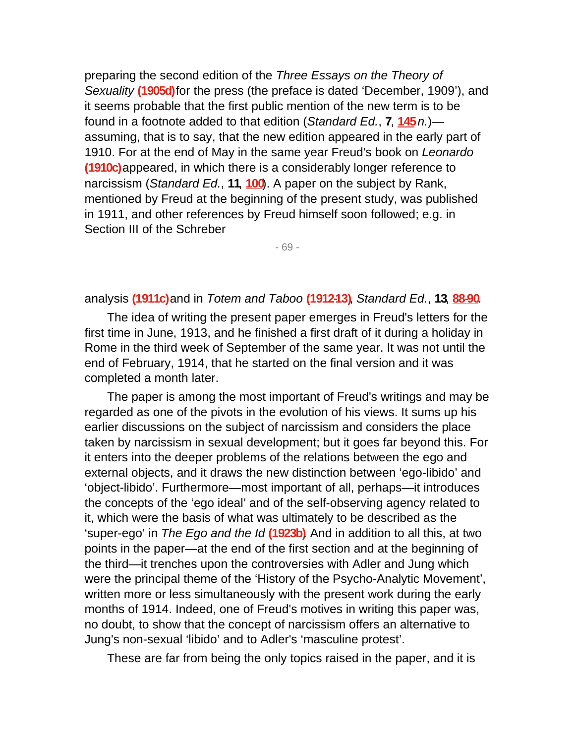preparing the second edition of the Three Essays on the Theory of Sexuality **(1905d)** for the press (the preface is dated 'December, 1909'), and it seems probable that the first public mention of the new term is to be found in a footnote added to that edition (Standard Ed., **7**, **[145](http://www.pep-web.org.libproxy.newschool.edu/document.php?id=se.007.0123a#p0145)**n.) assuming, that is to say, that the new edition appeared in the early part of 1910. For at the end of May in the same year Freud's book on Leonardo **(1910c)** appeared, in which there is a considerably longer reference to narcissism (Standard Ed., **11**, **[100](http://www.pep-web.org.libproxy.newschool.edu/document.php?id=se.014.0067a#p0100)**). A paper on the subject by Rank, mentioned by Freud at the beginning of the present study, was published in 1911, and other references by Freud himself soon followed; e.g. in Section III of the Schreber

- 69 -

### analysis **(1911c)** and in Totem and Taboo **(1912-13)**, Standard Ed., **13**, **[88-90](http://www.pep-web.org.libproxy.newschool.edu/document.php?id=se.014.0067a#p0088)**.

The idea of writing the present paper emerges in Freud's letters for the first time in June, 1913, and he finished a first draft of it during a holiday in Rome in the third week of September of the same year. It was not until the end of February, 1914, that he started on the final version and it was completed a month later.

The paper is among the most important of Freud's writings and may be regarded as one of the pivots in the evolution of his views. It sums up his earlier discussions on the subject of narcissism and considers the place taken by narcissism in sexual development; but it goes far beyond this. For it enters into the deeper problems of the relations between the ego and external objects, and it draws the new distinction between 'ego-libido' and 'object-libido'. Furthermore—most important of all, perhaps—it introduces the concepts of the 'ego ideal' and of the self-observing agency related to it, which were the basis of what was ultimately to be described as the 'super-ego' in The Ego and the Id **(1923b)**. And in addition to all this, at two points in the paper—at the end of the first section and at the beginning of the third—it trenches upon the controversies with Adler and Jung which were the principal theme of the 'History of the Psycho-Analytic Movement', written more or less simultaneously with the present work during the early months of 1914. Indeed, one of Freud's motives in writing this paper was, no doubt, to show that the concept of narcissism offers an alternative to Jung's non-sexual 'libido' and to Adler's 'masculine protest'.

These are far from being the only topics raised in the paper, and it is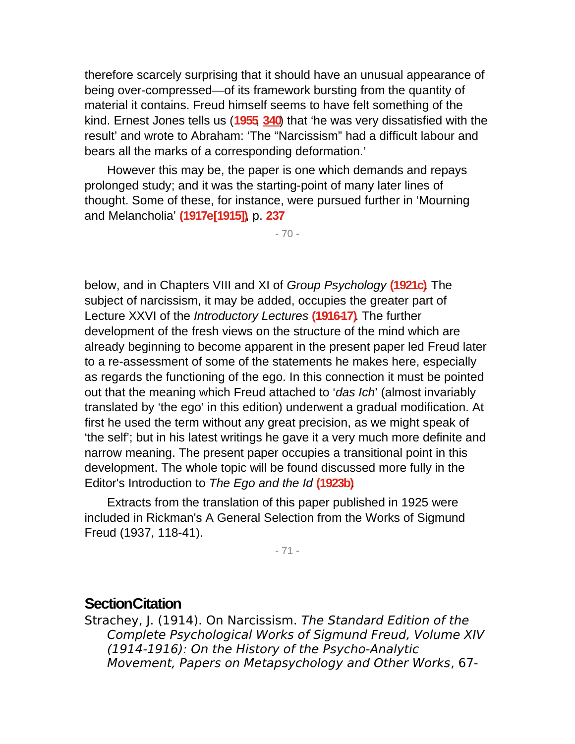therefore scarcely surprising that it should have an unusual appearance of being over-compressed—of its framework bursting from the quantity of material it contains. Freud himself seems to have felt something of the kind. Ernest Jones tells us (**1955**, **[340](http://www.pep-web.org.libproxy.newschool.edu/document.php?id=zbk.046.0001a#p0340)**) that 'he was very dissatisfied with the result' and wrote to Abraham: 'The "Narcissism" had a difficult labour and bears all the marks of a corresponding deformation.'

However this may be, the paper is one which demands and repays prolonged study; and it was the starting-point of many later lines of thought. Some of these, for instance, were pursued further in 'Mourning and Melancholia' **(1917e [1915])**, p. **[237](http://www.pep-web.org.libproxy.newschool.edu/document.php?id=se.014.0237a#p0237)**

- 70 -

below, and in Chapters VIII and XI of Group Psychology **(1921c)**. The subject of narcissism, it may be added, occupies the greater part of Lecture XXVI of the Introductory Lectures **(1916-17)**. The further development of the fresh views on the structure of the mind which are already beginning to become apparent in the present paper led Freud later to a re-assessment of some of the statements he makes here, especially as regards the functioning of the ego. In this connection it must be pointed out that the meaning which Freud attached to 'das Ich' (almost invariably translated by 'the ego' in this edition) underwent a gradual modification. At first he used the term without any great precision, as we might speak of 'the self'; but in his latest writings he gave it a very much more definite and narrow meaning. The present paper occupies a transitional point in this development. The whole topic will be found discussed more fully in the Editor's Introduction to The Ego and the Id **(1923b)**.

Extracts from the translation of this paper published in 1925 were included in Rickman's A General Selection from the Works of Sigmund Freud (1937, 118-41).

- 71 -

## **Section Citation**

Strachey, J. (1914). On Narcissism. The Standard Edition of the Complete Psychological Works of Sigmund Freud, Volume XIV (1914-1916): On the History of the Psycho-Analytic Movement, Papers on Metapsychology and Other Works, 67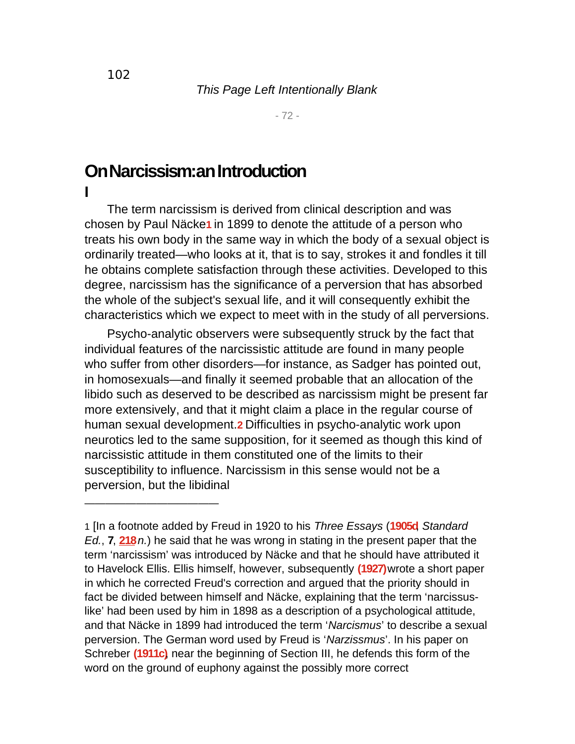- 72 -

# **On Narcissism: an Introduction**

—————————————

The term narcissism is derived from clinical description and was chosen by Paul Näcke**1** in 1899 to denote the attitude of a person who treats his own body in the same way in which the body of a sexual object is ordinarily treated—who looks at it, that is to say, strokes it and fondles it till he obtains complete satisfaction through these activities. Developed to this degree, narcissism has the significance of a perversion that has absorbed the whole of the subject's sexual life, and it will consequently exhibit the characteristics which we expect to meet with in the study of all perversions.

Psycho-analytic observers were subsequently struck by the fact that individual features of the narcissistic attitude are found in many people who suffer from other disorders—for instance, as Sadger has pointed out, in homosexuals—and finally it seemed probable that an allocation of the libido such as deserved to be described as narcissism might be present far more extensively, and that it might claim a place in the regular course of human sexual development.**2** Difficulties in psycho-analytic work upon neurotics led to the same supposition, for it seemed as though this kind of narcissistic attitude in them constituted one of the limits to their susceptibility to influence. Narcissism in this sense would not be a perversion, but the libidinal

**I**

<sup>1</sup> [In a footnote added by Freud in 1920 to his Three Essays (**1905d**, Standard Ed., **7**, **[218](http://www.pep-web.org.libproxy.newschool.edu/document.php?id=se.007.0123a#p0218)**n.) he said that he was wrong in stating in the present paper that the term 'narcissism' was introduced by Näcke and that he should have attributed it to Havelock Ellis. Ellis himself, however, subsequently **(1927)** wrote a short paper in which he corrected Freud's correction and argued that the priority should in fact be divided between himself and Näcke, explaining that the term 'narcissuslike' had been used by him in 1898 as a description of a psychological attitude, and that Näcke in 1899 had introduced the term 'Narcismus' to describe a sexual perversion. The German word used by Freud is 'Narzissmus'. In his paper on Schreber **(1911c)**, near the beginning of Section III, he defends this form of the word on the ground of euphony against the possibly more correct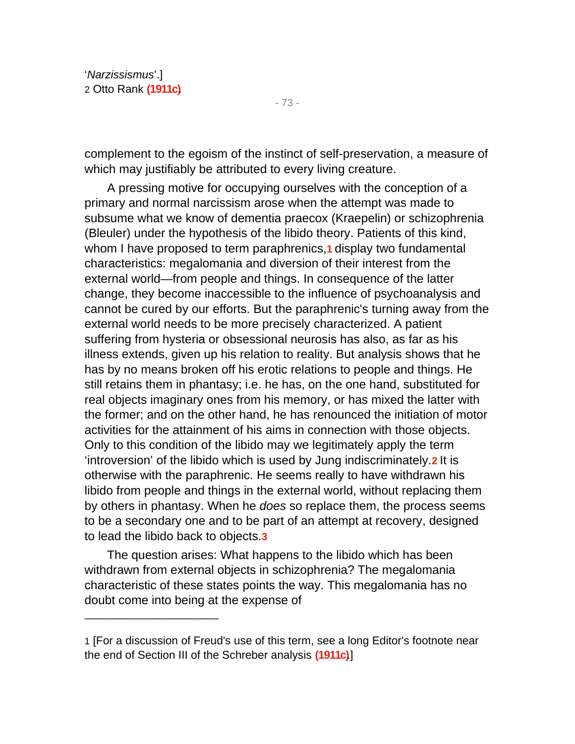'Narzissismus'.] 2 Otto Rank **(1911c)**.

—————————————

complement to the egoism of the instinct of self-preservation, a measure of which may justifiably be attributed to every living creature.

A pressing motive for occupying ourselves with the conception of a primary and normal narcissism arose when the attempt was made to subsume what we know of dementia praecox (Kraepelin) or schizophrenia (Bleuler) under the hypothesis of the libido theory. Patients of this kind, whom I have proposed to term paraphrenics,**1** display two fundamental characteristics: megalomania and diversion of their interest from the external world—from people and things. In consequence of the latter change, they become inaccessible to the influence of psychoanalysis and cannot be cured by our efforts. But the paraphrenic's turning away from the external world needs to be more precisely characterized. A patient suffering from hysteria or obsessional neurosis has also, as far as his illness extends, given up his relation to reality. But analysis shows that he has by no means broken off his erotic relations to people and things. He still retains them in phantasy; i.e. he has, on the one hand, substituted for real objects imaginary ones from his memory, or has mixed the latter with the former; and on the other hand, he has renounced the initiation of motor activities for the attainment of his aims in connection with those objects. Only to this condition of the libido may we legitimately apply the term 'introversion' of the libido which is used by Jung indiscriminately.**2** It is otherwise with the paraphrenic. He seems really to have withdrawn his libido from people and things in the external world, without replacing them by others in phantasy. When he *does* so replace them, the process seems to be a secondary one and to be part of an attempt at recovery, designed to lead the libido back to objects.**3**

The question arises: What happens to the libido which has been withdrawn from external objects in schizophrenia? The megalomania characteristic of these states points the way. This megalomania has no doubt come into being at the expense of

<sup>1</sup> [For a discussion of Freud's use of this term, see a long Editor's footnote near the end of Section III of the Schreber analysis **(1911c)**.]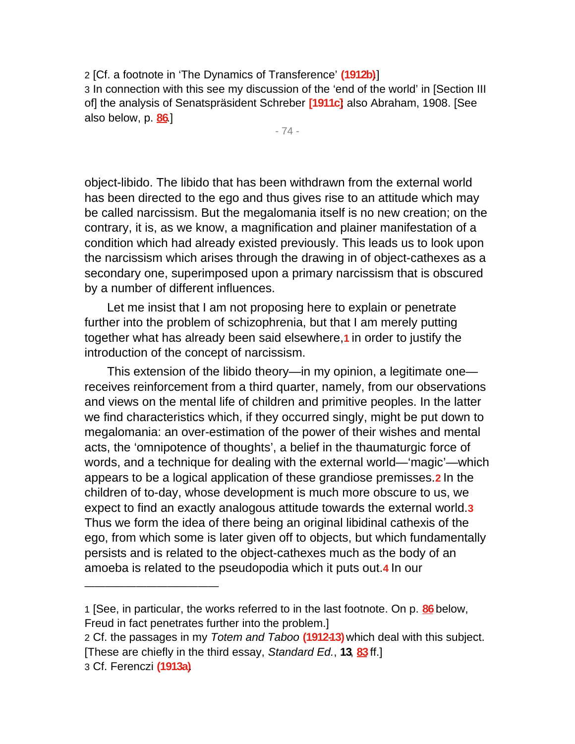2 [Cf. a footnote in 'The Dynamics of Transference' **(1912b)**.]

3 In connection with this see my discussion of the 'end of the world' in [Section III of] the analysis of Senatspräsident Schreber **[1911c]**; also Abraham, 1908. [See also below, p. **[86](http://www.pep-web.org.libproxy.newschool.edu/document.php?id=se.014.0067a#p0086)**.]

- 74 -

object-libido. The libido that has been withdrawn from the external world has been directed to the ego and thus gives rise to an attitude which may be called narcissism. But the megalomania itself is no new creation; on the contrary, it is, as we know, a magnification and plainer manifestation of a condition which had already existed previously. This leads us to look upon the narcissism which arises through the drawing in of object-cathexes as a secondary one, superimposed upon a primary narcissism that is obscured by a number of different influences.

Let me insist that I am not proposing here to explain or penetrate further into the problem of schizophrenia, but that I am merely putting together what has already been said elsewhere,**1** in order to justify the introduction of the concept of narcissism.

This extension of the libido theory—in my opinion, a legitimate one receives reinforcement from a third quarter, namely, from our observations and views on the mental life of children and primitive peoples. In the latter we find characteristics which, if they occurred singly, might be put down to megalomania: an over-estimation of the power of their wishes and mental acts, the 'omnipotence of thoughts', a belief in the thaumaturgic force of words, and a technique for dealing with the external world—'magic'—which appears to be a logical application of these grandiose premisses.**2** In the children of to-day, whose development is much more obscure to us, we expect to find an exactly analogous attitude towards the external world.**3** Thus we form the idea of there being an original libidinal cathexis of the ego, from which some is later given off to objects, but which fundamentally persists and is related to the object-cathexes much as the body of an amoeba is related to the pseudopodia which it puts out.**4** In our

—————————————

<sup>1</sup> [See, in particular, the works referred to in the last footnote. On p. **[86](http://www.pep-web.org.libproxy.newschool.edu/document.php?id=se.014.0067a#p0086)** below, Freud in fact penetrates further into the problem.]

<sup>2</sup> Cf. the passages in my Totem and Taboo **(1912-13)** which deal with this subject. [These are chiefly in the third essay, Standard Ed., **13**, **[83](http://www.pep-web.org.libproxy.newschool.edu/document.php?id=se.011.0057a#p0083)** ff.]

<sup>3</sup> Cf. Ferenczi **(1913a)**.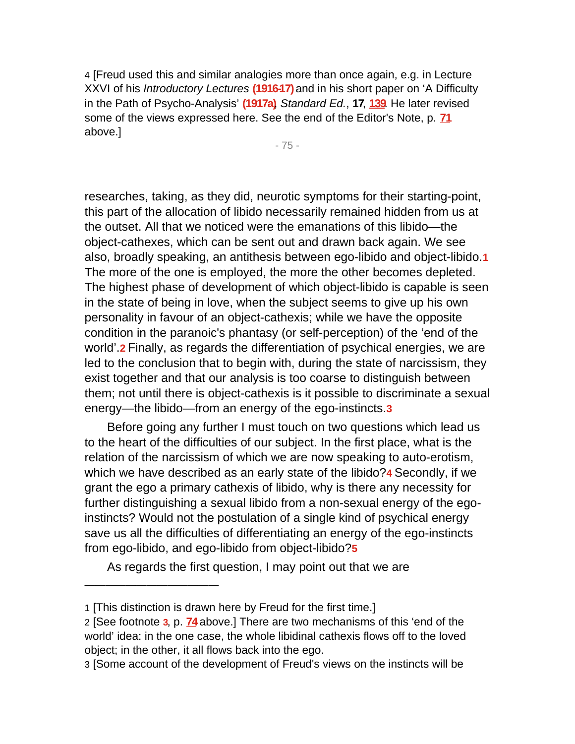4 [Freud used this and similar analogies more than once again, e.g. in Lecture XXVI of his Introductory Lectures **(1916-17)** and in his short paper on 'A Difficulty in the Path of Psycho-Analysis' **(1917a)**, Standard Ed., **17**, **[139](http://www.pep-web.org.libproxy.newschool.edu/document.php?id=se.017.0135a#p0139)**. He later revised some of the views expressed here. See the end of the Editor's Note, p. **[71](http://www.pep-web.org.libproxy.newschool.edu/document.php?id=se.014.0067a#p0071)** above.]

- 75 -

researches, taking, as they did, neurotic symptoms for their starting-point, this part of the allocation of libido necessarily remained hidden from us at the outset. All that we noticed were the emanations of this libido—the object-cathexes, which can be sent out and drawn back again. We see also, broadly speaking, an antithesis between ego-libido and object-libido.**1** The more of the one is employed, the more the other becomes depleted. The highest phase of development of which object-libido is capable is seen in the state of being in love, when the subject seems to give up his own personality in favour of an object-cathexis; while we have the opposite condition in the paranoic's phantasy (or self-perception) of the 'end of the world'.**2** Finally, as regards the differentiation of psychical energies, we are led to the conclusion that to begin with, during the state of narcissism, they exist together and that our analysis is too coarse to distinguish between them; not until there is object-cathexis is it possible to discriminate a sexual energy—the libido—from an energy of the ego-instincts.**3**

Before going any further I must touch on two questions which lead us to the heart of the difficulties of our subject. In the first place, what is the relation of the narcissism of which we are now speaking to auto-erotism, which we have described as an early state of the libido?**4** Secondly, if we grant the ego a primary cathexis of libido, why is there any necessity for further distinguishing a sexual libido from a non-sexual energy of the egoinstincts? Would not the postulation of a single kind of psychical energy save us all the difficulties of differentiating an energy of the ego-instincts from ego-libido, and ego-libido from object-libido?**5**

As regards the first question, I may point out that we are

—————————————

<sup>1</sup> [This distinction is drawn here by Freud for the first time.]

<sup>2</sup> [See footnote **3**, p. **[74](http://www.pep-web.org.libproxy.newschool.edu/document.php?id=se.014.0067a#p0074)** above.] There are two mechanisms of this 'end of the world' idea: in the one case, the whole libidinal cathexis flows off to the loved object; in the other, it all flows back into the ego.

<sup>3</sup> [Some account of the development of Freud's views on the instincts will be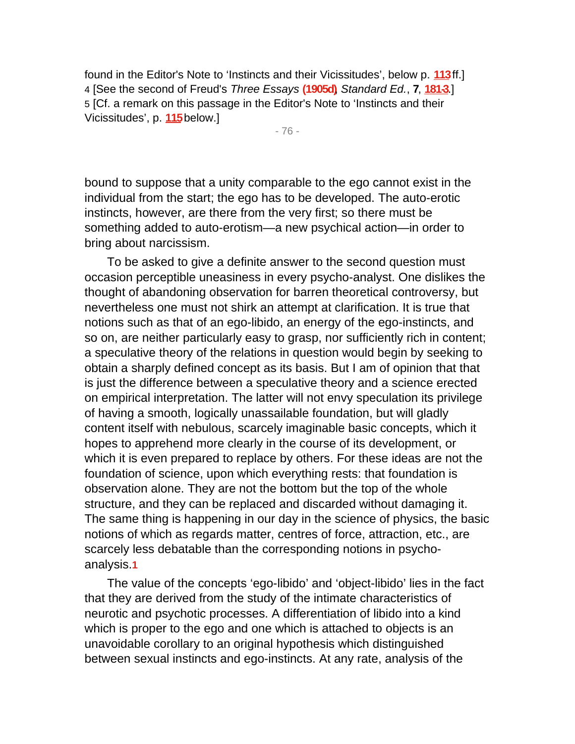found in the Editor's Note to 'Instincts and their Vicissitudes', below p. **[113](http://www.pep-web.org.libproxy.newschool.edu/document.php?id=se.014.0109a#p0113)** ff.] 4 [See the second of Freud's Three Essays **(1905d)**, Standard Ed., **7**, **[181-3](http://www.pep-web.org.libproxy.newschool.edu/document.php?id=se.007.0123a#p0181)**.] 5 [Cf. a remark on this passage in the Editor's Note to 'Instincts and their Vicissitudes', p. **[115](http://www.pep-web.org.libproxy.newschool.edu/document.php?id=se.014.0109a#p0115)** below.]

- 76 -

bound to suppose that a unity comparable to the ego cannot exist in the individual from the start; the ego has to be developed. The auto-erotic instincts, however, are there from the very first; so there must be something added to auto-erotism—a new psychical action—in order to bring about narcissism.

To be asked to give a definite answer to the second question must occasion perceptible uneasiness in every psycho-analyst. One dislikes the thought of abandoning observation for barren theoretical controversy, but nevertheless one must not shirk an attempt at clarification. It is true that notions such as that of an ego-libido, an energy of the ego-instincts, and so on, are neither particularly easy to grasp, nor sufficiently rich in content; a speculative theory of the relations in question would begin by seeking to obtain a sharply defined concept as its basis. But I am of opinion that that is just the difference between a speculative theory and a science erected on empirical interpretation. The latter will not envy speculation its privilege of having a smooth, logically unassailable foundation, but will gladly content itself with nebulous, scarcely imaginable basic concepts, which it hopes to apprehend more clearly in the course of its development, or which it is even prepared to replace by others. For these ideas are not the foundation of science, upon which everything rests: that foundation is observation alone. They are not the bottom but the top of the whole structure, and they can be replaced and discarded without damaging it. The same thing is happening in our day in the science of physics, the basic notions of which as regards matter, centres of force, attraction, etc., are scarcely less debatable than the corresponding notions in psychoanalysis.**1**

The value of the concepts 'ego-libido' and 'object-libido' lies in the fact that they are derived from the study of the intimate characteristics of neurotic and psychotic processes. A differentiation of libido into a kind which is proper to the ego and one which is attached to objects is an unavoidable corollary to an original hypothesis which distinguished between sexual instincts and ego-instincts. At any rate, analysis of the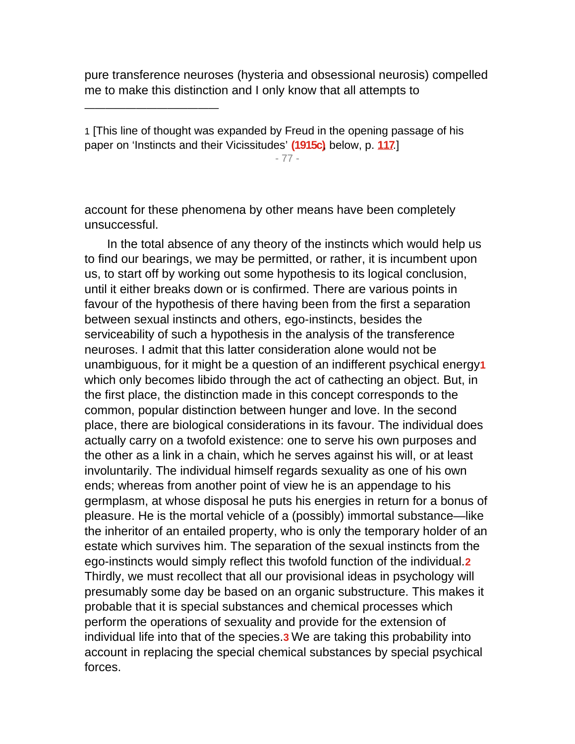pure transference neuroses (hysteria and obsessional neurosis) compelled me to make this distinction and I only know that all attempts to

—————————————

- 77 -

account for these phenomena by other means have been completely unsuccessful.

In the total absence of any theory of the instincts which would help us to find our bearings, we may be permitted, or rather, it is incumbent upon us, to start off by working out some hypothesis to its logical conclusion, until it either breaks down or is confirmed. There are various points in favour of the hypothesis of there having been from the first a separation between sexual instincts and others, ego-instincts, besides the serviceability of such a hypothesis in the analysis of the transference neuroses. I admit that this latter consideration alone would not be unambiguous, for it might be a question of an indifferent psychical energy**1** which only becomes libido through the act of cathecting an object. But, in the first place, the distinction made in this concept corresponds to the common, popular distinction between hunger and love. In the second place, there are biological considerations in its favour. The individual does actually carry on a twofold existence: one to serve his own purposes and the other as a link in a chain, which he serves against his will, or at least involuntarily. The individual himself regards sexuality as one of his own ends; whereas from another point of view he is an appendage to his germplasm, at whose disposal he puts his energies in return for a bonus of pleasure. He is the mortal vehicle of a (possibly) immortal substance—like the inheritor of an entailed property, who is only the temporary holder of an estate which survives him. The separation of the sexual instincts from the ego-instincts would simply reflect this twofold function of the individual.**2** Thirdly, we must recollect that all our provisional ideas in psychology will presumably some day be based on an organic substructure. This makes it probable that it is special substances and chemical processes which perform the operations of sexuality and provide for the extension of individual life into that of the species.**3** We are taking this probability into account in replacing the special chemical substances by special psychical forces.

<sup>1</sup> [This line of thought was expanded by Freud in the opening passage of his paper on 'Instincts and their Vicissitudes' **(1915c)**, below, p. **[117](http://www.pep-web.org.libproxy.newschool.edu/document.php?id=se.014.0109a#p0117)**.]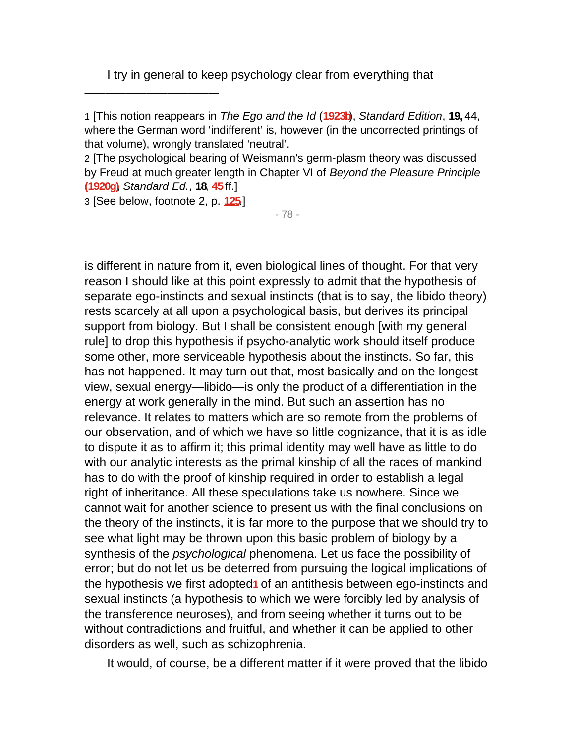I try in general to keep psychology clear from everything that

3 [See below, footnote 2, p. **[125](http://www.pep-web.org.libproxy.newschool.edu/document.php?id=se.014.0109a#p0125)**.]

—————————————

is different in nature from it, even biological lines of thought. For that very reason I should like at this point expressly to admit that the hypothesis of separate ego-instincts and sexual instincts (that is to say, the libido theory) rests scarcely at all upon a psychological basis, but derives its principal support from biology. But I shall be consistent enough [with my general rule] to drop this hypothesis if psycho-analytic work should itself produce some other, more serviceable hypothesis about the instincts. So far, this has not happened. It may turn out that, most basically and on the longest view, sexual energy—libido—is only the product of a differentiation in the energy at work generally in the mind. But such an assertion has no relevance. It relates to matters which are so remote from the problems of our observation, and of which we have so little cognizance, that it is as idle to dispute it as to affirm it; this primal identity may well have as little to do with our analytic interests as the primal kinship of all the races of mankind has to do with the proof of kinship required in order to establish a legal right of inheritance. All these speculations take us nowhere. Since we cannot wait for another science to present us with the final conclusions on the theory of the instincts, it is far more to the purpose that we should try to see what light may be thrown upon this basic problem of biology by a synthesis of the psychological phenomena. Let us face the possibility of error; but do not let us be deterred from pursuing the logical implications of the hypothesis we first adopted**1** of an antithesis between ego-instincts and sexual instincts (a hypothesis to which we were forcibly led by analysis of the transference neuroses), and from seeing whether it turns out to be without contradictions and fruitful, and whether it can be applied to other disorders as well, such as schizophrenia.

It would, of course, be a different matter if it were proved that the libido

<sup>1</sup> [This notion reappears in The Ego and the Id (**1923b**), Standard Edition, **19,** 44, where the German word 'indifferent' is, however (in the uncorrected printings of that volume), wrongly translated 'neutral'.

<sup>2</sup> [The psychological bearing of Weismann's germ-plasm theory was discussed by Freud at much greater length in Chapter VI of Beyond the Pleasure Principle **(1920g)**, Standard Ed., **18**, **[45](http://www.pep-web.org.libproxy.newschool.edu/document.php?id=se.018.0001a#p0045)** ff.]

<sup>- 78 -</sup>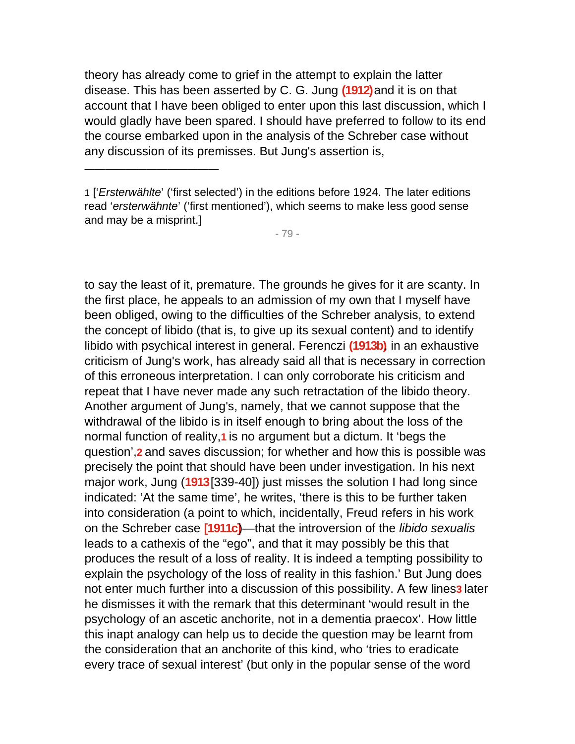theory has already come to grief in the attempt to explain the latter disease. This has been asserted by C. G. Jung **(1912)** and it is on that account that I have been obliged to enter upon this last discussion, which I would gladly have been spared. I should have preferred to follow to its end the course embarked upon in the analysis of the Schreber case without any discussion of its premisses. But Jung's assertion is,

—————————————

- 79 -

to say the least of it, premature. The grounds he gives for it are scanty. In the first place, he appeals to an admission of my own that I myself have been obliged, owing to the difficulties of the Schreber analysis, to extend the concept of libido (that is, to give up its sexual content) and to identify libido with psychical interest in general. Ferenczi **(1913b)**, in an exhaustive criticism of Jung's work, has already said all that is necessary in correction of this erroneous interpretation. I can only corroborate his criticism and repeat that I have never made any such retractation of the libido theory. Another argument of Jung's, namely, that we cannot suppose that the withdrawal of the libido is in itself enough to bring about the loss of the normal function of reality,**1** is no argument but a dictum. It 'begs the question',**2** and saves discussion; for whether and how this is possible was precisely the point that should have been under investigation. In his next major work, Jung (**1913** [339-40]) just misses the solution I had long since indicated: 'At the same time', he writes, 'there is this to be further taken into consideration (a point to which, incidentally, Freud refers in his work on the Schreber case **[1911c]**)—that the introversion of the libido sexualis leads to a cathexis of the "ego", and that it may possibly be this that produces the result of a loss of reality. It is indeed a tempting possibility to explain the psychology of the loss of reality in this fashion.' But Jung does not enter much further into a discussion of this possibility. A few lines**3** later he dismisses it with the remark that this determinant 'would result in the psychology of an ascetic anchorite, not in a dementia praecox'. How little this inapt analogy can help us to decide the question may be learnt from the consideration that an anchorite of this kind, who 'tries to eradicate every trace of sexual interest' (but only in the popular sense of the word

<sup>1</sup> ['Ersterwählte' ('first selected') in the editions before 1924. The later editions read 'ersterwähnte' ('first mentioned'), which seems to make less good sense and may be a misprint.]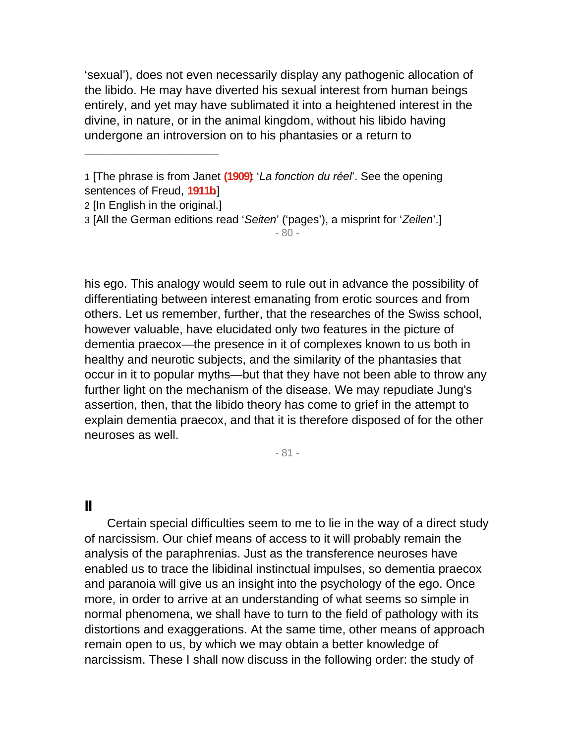'sexual'), does not even necessarily display any pathogenic allocation of the libido. He may have diverted his sexual interest from human beings entirely, and yet may have sublimated it into a heightened interest in the divine, in nature, or in the animal kingdom, without his libido having undergone an introversion on to his phantasies or a return to

—————————————

3 [All the German editions read 'Seiten' ('pages'), a misprint for 'Zeilen'.]

- 80 -

his ego. This analogy would seem to rule out in advance the possibility of differentiating between interest emanating from erotic sources and from others. Let us remember, further, that the researches of the Swiss school, however valuable, have elucidated only two features in the picture of dementia praecox—the presence in it of complexes known to us both in healthy and neurotic subjects, and the similarity of the phantasies that occur in it to popular myths—but that they have not been able to throw any further light on the mechanism of the disease. We may repudiate Jung's assertion, then, that the libido theory has come to grief in the attempt to explain dementia praecox, and that it is therefore disposed of for the other neuroses as well.

- 81 -

## **II**

Certain special difficulties seem to me to lie in the way of a direct study of narcissism. Our chief means of access to it will probably remain the analysis of the paraphrenias. Just as the transference neuroses have enabled us to trace the libidinal instinctual impulses, so dementia praecox and paranoia will give us an insight into the psychology of the ego. Once more, in order to arrive at an understanding of what seems so simple in normal phenomena, we shall have to turn to the field of pathology with its distortions and exaggerations. At the same time, other means of approach remain open to us, by which we may obtain a better knowledge of narcissism. These I shall now discuss in the following order: the study of

<sup>1</sup> [The phrase is from Janet **(1909)**: 'La fonction du réel'. See the opening sentences of Freud, **1911b**.]

<sup>2</sup> [In English in the original.]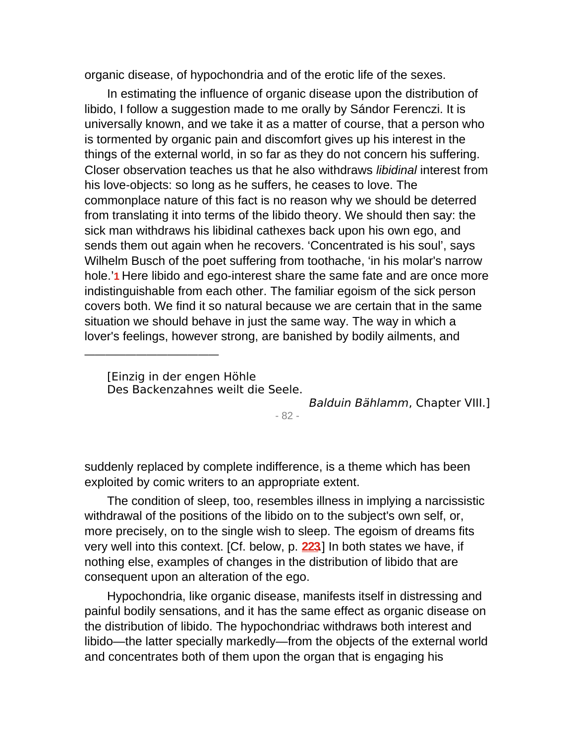organic disease, of hypochondria and of the erotic life of the sexes.

In estimating the influence of organic disease upon the distribution of libido, I follow a suggestion made to me orally by Sándor Ferenczi. It is universally known, and we take it as a matter of course, that a person who is tormented by organic pain and discomfort gives up his interest in the things of the external world, in so far as they do not concern his suffering. Closer observation teaches us that he also withdraws libidinal interest from his love-objects: so long as he suffers, he ceases to love. The commonplace nature of this fact is no reason why we should be deterred from translating it into terms of the libido theory. We should then say: the sick man withdraws his libidinal cathexes back upon his own ego, and sends them out again when he recovers. 'Concentrated is his soul', says Wilhelm Busch of the poet suffering from toothache, 'in his molar's narrow hole.'**1** Here libido and ego-interest share the same fate and are once more indistinguishable from each other. The familiar egoism of the sick person covers both. We find it so natural because we are certain that in the same situation we should behave in just the same way. The way in which a lover's feelings, however strong, are banished by bodily ailments, and

[Einzig in der engen Höhle Des Backenzahnes weilt die Seele.

—————————————

Balduin Bählamm, Chapter VIII.]

- 82 -

suddenly replaced by complete indifference, is a theme which has been exploited by comic writers to an appropriate extent.

The condition of sleep, too, resembles illness in implying a narcissistic withdrawal of the positions of the libido on to the subject's own self, or, more precisely, on to the single wish to sleep. The egoism of dreams fits very well into this context. [Cf. below, p. **[223](http://www.pep-web.org.libproxy.newschool.edu/document.php?id=se.014.0217a#p0223)**.] In both states we have, if nothing else, examples of changes in the distribution of libido that are consequent upon an alteration of the ego.

Hypochondria, like organic disease, manifests itself in distressing and painful bodily sensations, and it has the same effect as organic disease on the distribution of libido. The hypochondriac withdraws both interest and libido—the latter specially markedly—from the objects of the external world and concentrates both of them upon the organ that is engaging his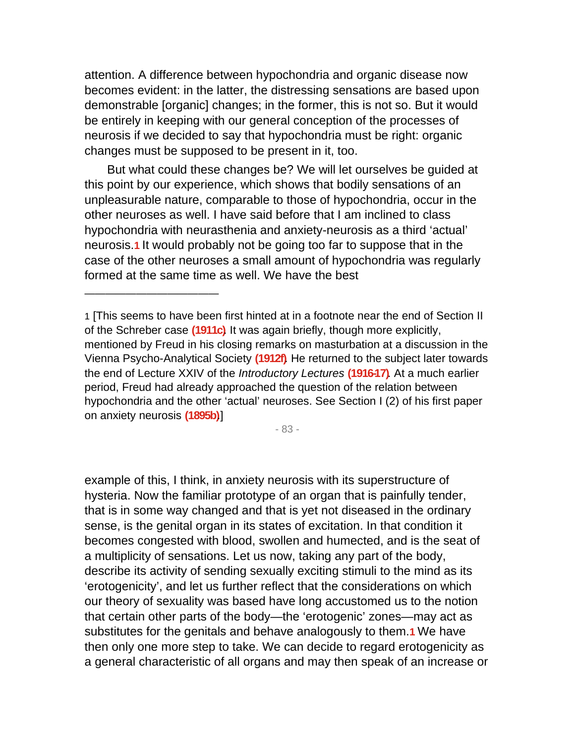attention. A difference between hypochondria and organic disease now becomes evident: in the latter, the distressing sensations are based upon demonstrable [organic] changes; in the former, this is not so. But it would be entirely in keeping with our general conception of the processes of neurosis if we decided to say that hypochondria must be right: organic changes must be supposed to be present in it, too.

But what could these changes be? We will let ourselves be guided at this point by our experience, which shows that bodily sensations of an unpleasurable nature, comparable to those of hypochondria, occur in the other neuroses as well. I have said before that I am inclined to class hypochondria with neurasthenia and anxiety-neurosis as a third 'actual' neurosis.**1** It would probably not be going too far to suppose that in the case of the other neuroses a small amount of hypochondria was regularly formed at the same time as well. We have the best

—————————————

- 83 -

example of this, I think, in anxiety neurosis with its superstructure of hysteria. Now the familiar prototype of an organ that is painfully tender, that is in some way changed and that is yet not diseased in the ordinary sense, is the genital organ in its states of excitation. In that condition it becomes congested with blood, swollen and humected, and is the seat of a multiplicity of sensations. Let us now, taking any part of the body, describe its activity of sending sexually exciting stimuli to the mind as its 'erotogenicity', and let us further reflect that the considerations on which our theory of sexuality was based have long accustomed us to the notion that certain other parts of the body—the 'erotogenic' zones—may act as substitutes for the genitals and behave analogously to them.**1** We have then only one more step to take. We can decide to regard erotogenicity as a general characteristic of all organs and may then speak of an increase or

<sup>1</sup> [This seems to have been first hinted at in a footnote near the end of Section II of the Schreber case **(1911c)**. It was again briefly, though more explicitly, mentioned by Freud in his closing remarks on masturbation at a discussion in the Vienna Psycho-Analytical Society **(1912f)**. He returned to the subject later towards the end of Lecture XXIV of the Introductory Lectures **(1916-17)**. At a much earlier period, Freud had already approached the question of the relation between hypochondria and the other 'actual' neuroses. See Section I (2) of his first paper on anxiety neurosis **(1895b)**.]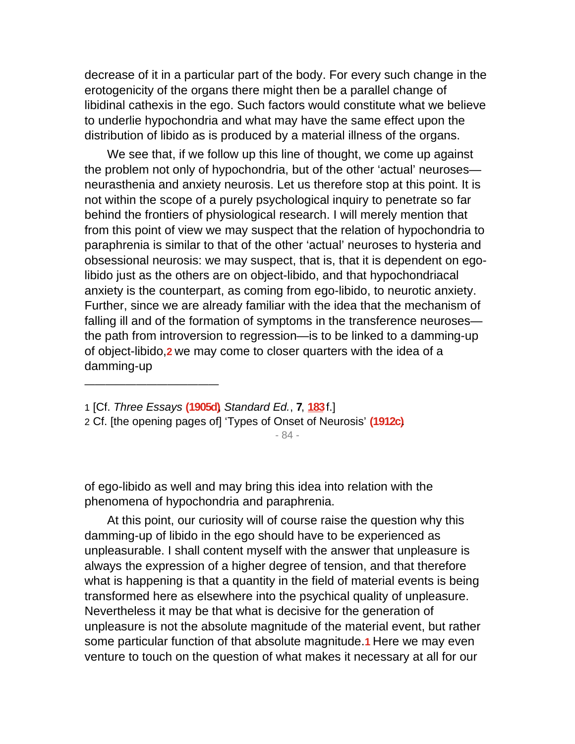decrease of it in a particular part of the body. For every such change in the erotogenicity of the organs there might then be a parallel change of libidinal cathexis in the ego. Such factors would constitute what we believe to underlie hypochondria and what may have the same effect upon the distribution of libido as is produced by a material illness of the organs.

We see that, if we follow up this line of thought, we come up against the problem not only of hypochondria, but of the other 'actual' neuroses neurasthenia and anxiety neurosis. Let us therefore stop at this point. It is not within the scope of a purely psychological inquiry to penetrate so far behind the frontiers of physiological research. I will merely mention that from this point of view we may suspect that the relation of hypochondria to paraphrenia is similar to that of the other 'actual' neuroses to hysteria and obsessional neurosis: we may suspect, that is, that it is dependent on egolibido just as the others are on object-libido, and that hypochondriacal anxiety is the counterpart, as coming from ego-libido, to neurotic anxiety. Further, since we are already familiar with the idea that the mechanism of falling ill and of the formation of symptoms in the transference neuroses the path from introversion to regression—is to be linked to a damming-up of object-libido,**2** we may come to closer quarters with the idea of a damming-up

—————————————

- 84 -

of ego-libido as well and may bring this idea into relation with the phenomena of hypochondria and paraphrenia.

At this point, our curiosity will of course raise the question why this damming-up of libido in the ego should have to be experienced as unpleasurable. I shall content myself with the answer that unpleasure is always the expression of a higher degree of tension, and that therefore what is happening is that a quantity in the field of material events is being transformed here as elsewhere into the psychical quality of unpleasure. Nevertheless it may be that what is decisive for the generation of unpleasure is not the absolute magnitude of the material event, but rather some particular function of that absolute magnitude.**1** Here we may even venture to touch on the question of what makes it necessary at all for our

<sup>1</sup> [Cf. Three Essays **(1905d)**, Standard Ed., **7**, **[183](http://www.pep-web.org.libproxy.newschool.edu/document.php?id=se.007.0123a#p0183)** f.]

<sup>2</sup> Cf. [the opening pages of] 'Types of Onset of Neurosis' **(1912c)**.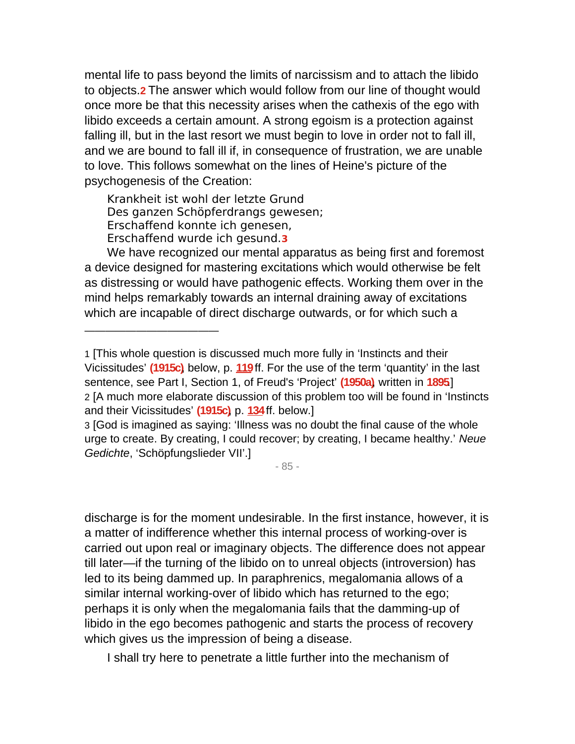mental life to pass beyond the limits of narcissism and to attach the libido to objects.**2** The answer which would follow from our line of thought would once more be that this necessity arises when the cathexis of the ego with libido exceeds a certain amount. A strong egoism is a protection against falling ill, but in the last resort we must begin to love in order not to fall ill, and we are bound to fall ill if, in consequence of frustration, we are unable to love. This follows somewhat on the lines of Heine's picture of the psychogenesis of the Creation:

Krankheit ist wohl der letzte Grund Des ganzen Schöpferdrangs gewesen; Erschaffend konnte ich genesen, Erschaffend wurde ich gesund.**3**

—————————————

We have recognized our mental apparatus as being first and foremost a device designed for mastering excitations which would otherwise be felt as distressing or would have pathogenic effects. Working them over in the mind helps remarkably towards an internal draining away of excitations which are incapable of direct discharge outwards, or for which such a

- 85 -

discharge is for the moment undesirable. In the first instance, however, it is a matter of indifference whether this internal process of working-over is carried out upon real or imaginary objects. The difference does not appear till later—if the turning of the libido on to unreal objects (introversion) has led to its being dammed up. In paraphrenics, megalomania allows of a similar internal working-over of libido which has returned to the ego; perhaps it is only when the megalomania fails that the damming-up of libido in the ego becomes pathogenic and starts the process of recovery which gives us the impression of being a disease.

I shall try here to penetrate a little further into the mechanism of

<sup>1</sup> [This whole question is discussed much more fully in 'Instincts and their Vicissitudes' **(1915c)**, below, p. **[119](http://www.pep-web.org.libproxy.newschool.edu/document.php?id=se.014.0109a#p0119)** ff. For the use of the term 'quantity' in the last sentence, see Part I, Section 1, of Freud's 'Project' **(1950a)**, written in **1895**.] 2 [A much more elaborate discussion of this problem too will be found in 'Instincts and their Vicissitudes' **(1915c)**, p. **[134](http://www.pep-web.org.libproxy.newschool.edu/document.php?id=se.014.0109a#p0134)** ff. below.]

<sup>3</sup> [God is imagined as saying: 'Illness was no doubt the final cause of the whole urge to create. By creating, I could recover; by creating, I became healthy.' Neue Gedichte, 'Schöpfungslieder VII'.]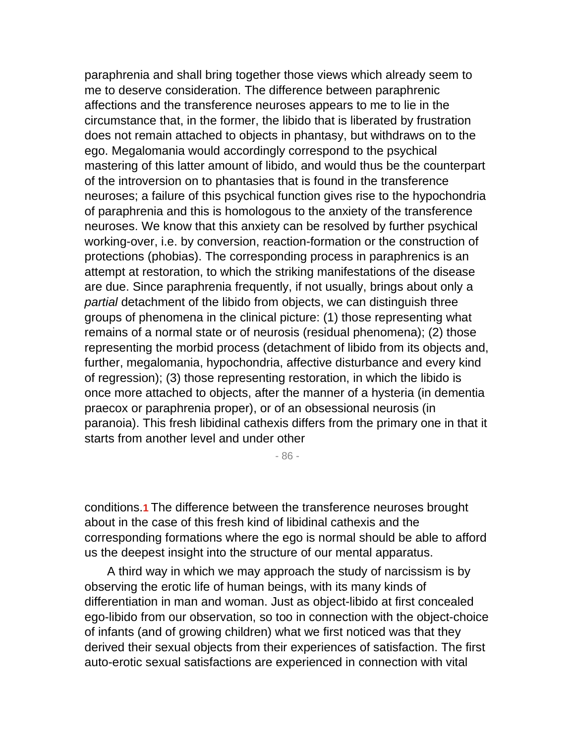paraphrenia and shall bring together those views which already seem to me to deserve consideration. The difference between paraphrenic affections and the transference neuroses appears to me to lie in the circumstance that, in the former, the libido that is liberated by frustration does not remain attached to objects in phantasy, but withdraws on to the ego. Megalomania would accordingly correspond to the psychical mastering of this latter amount of libido, and would thus be the counterpart of the introversion on to phantasies that is found in the transference neuroses; a failure of this psychical function gives rise to the hypochondria of paraphrenia and this is homologous to the anxiety of the transference neuroses. We know that this anxiety can be resolved by further psychical working-over, i.e. by conversion, reaction-formation or the construction of protections (phobias). The corresponding process in paraphrenics is an attempt at restoration, to which the striking manifestations of the disease are due. Since paraphrenia frequently, if not usually, brings about only a partial detachment of the libido from objects, we can distinguish three groups of phenomena in the clinical picture: (1) those representing what remains of a normal state or of neurosis (residual phenomena); (2) those representing the morbid process (detachment of libido from its objects and, further, megalomania, hypochondria, affective disturbance and every kind of regression); (3) those representing restoration, in which the libido is once more attached to objects, after the manner of a hysteria (in dementia praecox or paraphrenia proper), or of an obsessional neurosis (in paranoia). This fresh libidinal cathexis differs from the primary one in that it starts from another level and under other

- 86 -

conditions.**1** The difference between the transference neuroses brought about in the case of this fresh kind of libidinal cathexis and the corresponding formations where the ego is normal should be able to afford us the deepest insight into the structure of our mental apparatus.

A third way in which we may approach the study of narcissism is by observing the erotic life of human beings, with its many kinds of differentiation in man and woman. Just as object-libido at first concealed ego-libido from our observation, so too in connection with the object-choice of infants (and of growing children) what we first noticed was that they derived their sexual objects from their experiences of satisfaction. The first auto-erotic sexual satisfactions are experienced in connection with vital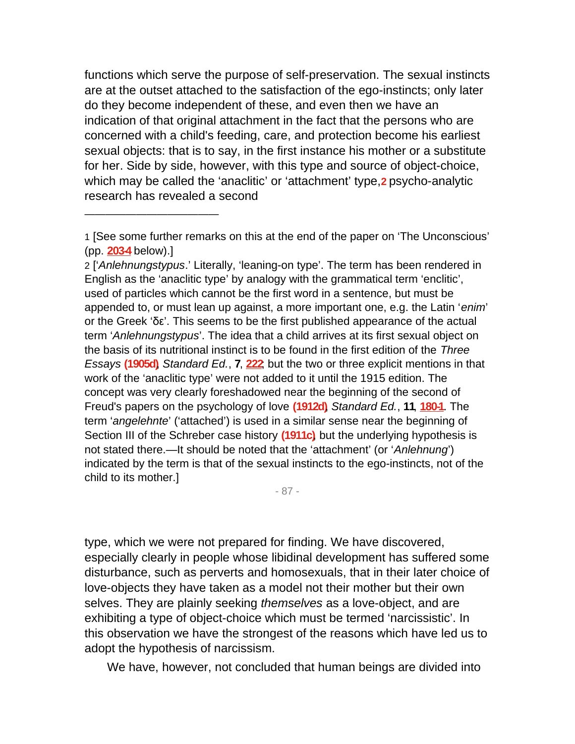functions which serve the purpose of self-preservation. The sexual instincts are at the outset attached to the satisfaction of the ego-instincts; only later do they become independent of these, and even then we have an indication of that original attachment in the fact that the persons who are concerned with a child's feeding, care, and protection become his earliest sexual objects: that is to say, in the first instance his mother or a substitute for her. Side by side, however, with this type and source of object-choice, which may be called the 'anaclitic' or 'attachment' type,**2** psycho-analytic research has revealed a second

—————————————

2 ['Anlehnungstypus.' Literally, 'leaning-on type'. The term has been rendered in English as the 'anaclitic type' by analogy with the grammatical term 'enclitic', used of particles which cannot be the first word in a sentence, but must be appended to, or must lean up against, a more important one, e.g. the Latin 'enim' or the Greek ' $\delta$ ε'. This seems to be the first published appearance of the actual term 'Anlehnungstypus'. The idea that a child arrives at its first sexual object on the basis of its nutritional instinct is to be found in the first edition of the Three Essays **(1905d)**, Standard Ed., **7**, **[222](http://www.pep-web.org.libproxy.newschool.edu/document.php?id=se.007.0123a#p0222)**; but the two or three explicit mentions in that work of the 'anaclitic type' were not added to it until the 1915 edition. The concept was very clearly foreshadowed near the beginning of the second of Freud's papers on the psychology of love **(1912d)**, Standard Ed., **11**, **[180-1](http://www.pep-web.org.libproxy.newschool.edu/document.php?id=se.011.0177a#p0180)**. The term 'angelehnte' ('attached') is used in a similar sense near the beginning of Section III of the Schreber case history **(1911c)**, but the underlying hypothesis is not stated there.—It should be noted that the 'attachment' (or 'Anlehnung') indicated by the term is that of the sexual instincts to the ego-instincts, not of the child to its mother.]

- 87 -

type, which we were not prepared for finding. We have discovered, especially clearly in people whose libidinal development has suffered some disturbance, such as perverts and homosexuals, that in their later choice of love-objects they have taken as a model not their mother but their own selves. They are plainly seeking *themselves* as a love-object, and are exhibiting a type of object-choice which must be termed 'narcissistic'. In this observation we have the strongest of the reasons which have led us to adopt the hypothesis of narcissism.

We have, however, not concluded that human beings are divided into

<sup>1</sup> [See some further remarks on this at the end of the paper on 'The Unconscious' (pp. **[203-4](http://www.pep-web.org.libproxy.newschool.edu/document.php?id=se.014.0159a#p0203)** below).]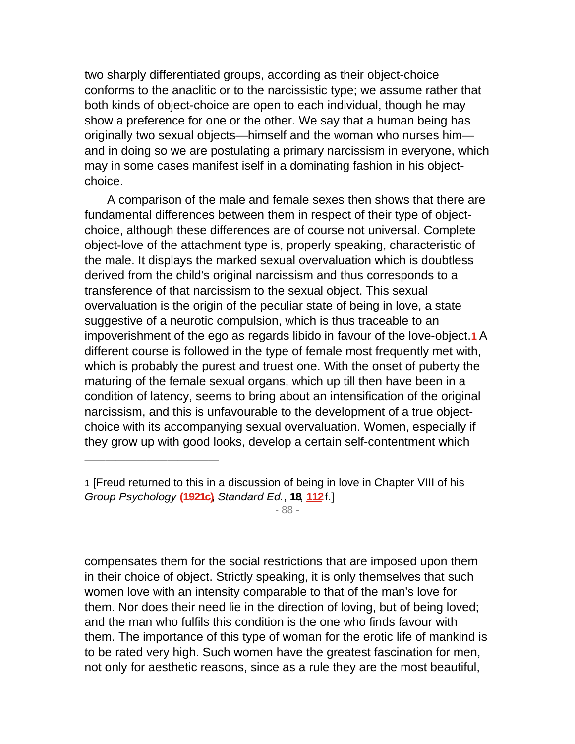two sharply differentiated groups, according as their object-choice conforms to the anaclitic or to the narcissistic type; we assume rather that both kinds of object-choice are open to each individual, though he may show a preference for one or the other. We say that a human being has originally two sexual objects—himself and the woman who nurses him and in doing so we are postulating a primary narcissism in everyone, which may in some cases manifest iself in a dominating fashion in his objectchoice.

A comparison of the male and female sexes then shows that there are fundamental differences between them in respect of their type of objectchoice, although these differences are of course not universal. Complete object-love of the attachment type is, properly speaking, characteristic of the male. It displays the marked sexual overvaluation which is doubtless derived from the child's original narcissism and thus corresponds to a transference of that narcissism to the sexual object. This sexual overvaluation is the origin of the peculiar state of being in love, a state suggestive of a neurotic compulsion, which is thus traceable to an impoverishment of the ego as regards libido in favour of the love-object.**1** A different course is followed in the type of female most frequently met with, which is probably the purest and truest one. With the onset of puberty the maturing of the female sexual organs, which up till then have been in a condition of latency, seems to bring about an intensification of the original narcissism, and this is unfavourable to the development of a true objectchoice with its accompanying sexual overvaluation. Women, especially if they grow up with good looks, develop a certain self-contentment which

—————————————

- 88 -

compensates them for the social restrictions that are imposed upon them in their choice of object. Strictly speaking, it is only themselves that such women love with an intensity comparable to that of the man's love for them. Nor does their need lie in the direction of loving, but of being loved; and the man who fulfils this condition is the one who finds favour with them. The importance of this type of woman for the erotic life of mankind is to be rated very high. Such women have the greatest fascination for men, not only for aesthetic reasons, since as a rule they are the most beautiful,

<sup>1</sup> [Freud returned to this in a discussion of being in love in Chapter VIII of his Group Psychology **(1921c)**, Standard Ed., **18**, **[112](http://www.pep-web.org.libproxy.newschool.edu/document.php?id=se.018.0065a#p0112)** f.]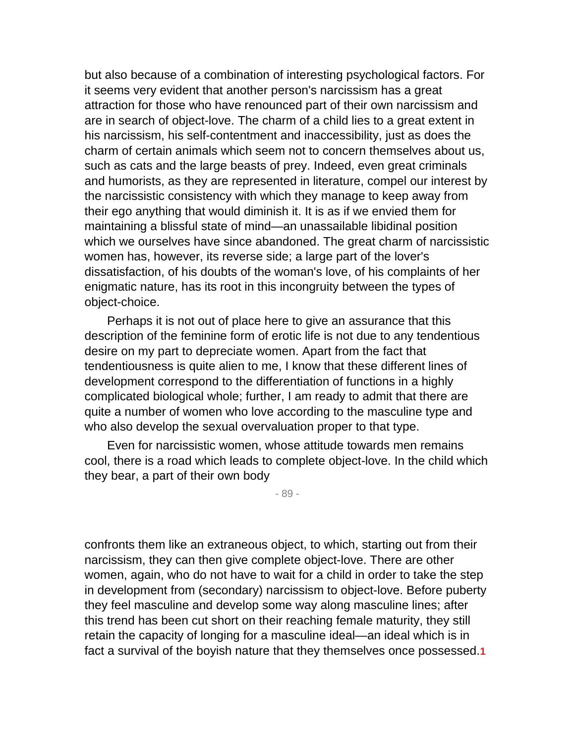but also because of a combination of interesting psychological factors. For it seems very evident that another person's narcissism has a great attraction for those who have renounced part of their own narcissism and are in search of object-love. The charm of a child lies to a great extent in his narcissism, his self-contentment and inaccessibility, just as does the charm of certain animals which seem not to concern themselves about us, such as cats and the large beasts of prey. Indeed, even great criminals and humorists, as they are represented in literature, compel our interest by the narcissistic consistency with which they manage to keep away from their ego anything that would diminish it. It is as if we envied them for maintaining a blissful state of mind—an unassailable libidinal position which we ourselves have since abandoned. The great charm of narcissistic women has, however, its reverse side; a large part of the lover's dissatisfaction, of his doubts of the woman's love, of his complaints of her enigmatic nature, has its root in this incongruity between the types of object-choice.

Perhaps it is not out of place here to give an assurance that this description of the feminine form of erotic life is not due to any tendentious desire on my part to depreciate women. Apart from the fact that tendentiousness is quite alien to me, I know that these different lines of development correspond to the differentiation of functions in a highly complicated biological whole; further, I am ready to admit that there are quite a number of women who love according to the masculine type and who also develop the sexual overvaluation proper to that type.

Even for narcissistic women, whose attitude towards men remains cool, there is a road which leads to complete object-love. In the child which they bear, a part of their own body

- 89 -

confronts them like an extraneous object, to which, starting out from their narcissism, they can then give complete object-love. There are other women, again, who do not have to wait for a child in order to take the step in development from (secondary) narcissism to object-love. Before puberty they feel masculine and develop some way along masculine lines; after this trend has been cut short on their reaching female maturity, they still retain the capacity of longing for a masculine ideal—an ideal which is in fact a survival of the boyish nature that they themselves once possessed.**1**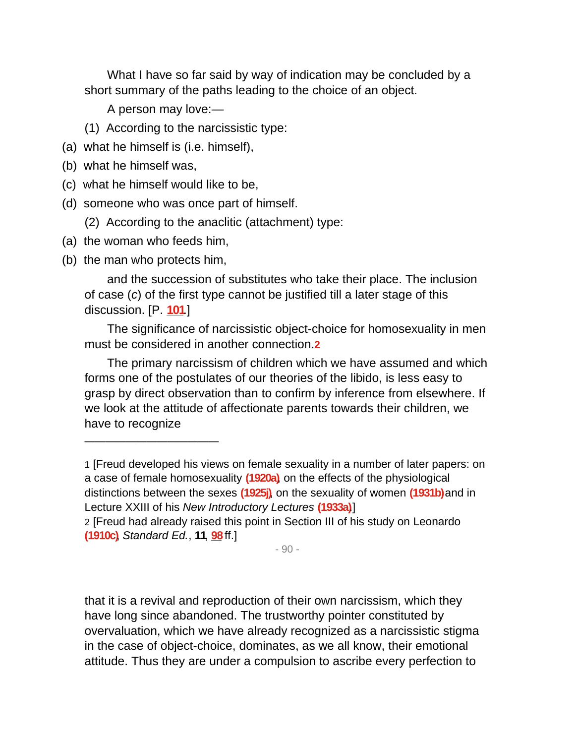What I have so far said by way of indication may be concluded by a short summary of the paths leading to the choice of an object.

A person may love:—

- (1) According to the narcissistic type:
- (a) what he himself is (i.e. himself),
- (b) what he himself was,
- (c) what he himself would like to be,
- (d) someone who was once part of himself.
	- (2) According to the anaclitic (attachment) type:
- (a) the woman who feeds him,
- (b) the man who protects him,

—————————————

and the succession of substitutes who take their place. The inclusion of case (c) of the first type cannot be justified till a later stage of this discussion. [P. **[101](http://www.pep-web.org.libproxy.newschool.edu/document.php?id=se.014.0067a#p0101)**.]

The significance of narcissistic object-choice for homosexuality in men must be considered in another connection.**2**

The primary narcissism of children which we have assumed and which forms one of the postulates of our theories of the libido, is less easy to grasp by direct observation than to confirm by inference from elsewhere. If we look at the attitude of affectionate parents towards their children, we have to recognize

- 90 -

that it is a revival and reproduction of their own narcissism, which they have long since abandoned. The trustworthy pointer constituted by overvaluation, which we have already recognized as a narcissistic stigma in the case of object-choice, dominates, as we all know, their emotional attitude. Thus they are under a compulsion to ascribe every perfection to

<sup>1</sup> [Freud developed his views on female sexuality in a number of later papers: on a case of female homosexuality **(1920a)**, on the effects of the physiological distinctions between the sexes **(1925j)**, on the sexuality of women **(1931b)** and in Lecture XXIII of his New Introductory Lectures **(1933a)**.]

<sup>2</sup> [Freud had already raised this point in Section III of his study on Leonardo **(1910c)**, Standard Ed., **11**, **[98](http://www.pep-web.org.libproxy.newschool.edu/document.php?id=se.011.0057a#p0098)** ff.]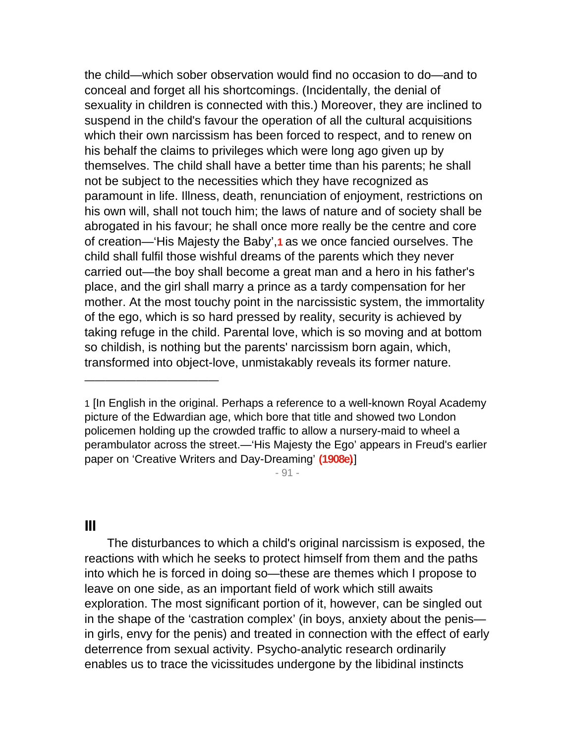the child—which sober observation would find no occasion to do—and to conceal and forget all his shortcomings. (Incidentally, the denial of sexuality in children is connected with this.) Moreover, they are inclined to suspend in the child's favour the operation of all the cultural acquisitions which their own narcissism has been forced to respect, and to renew on his behalf the claims to privileges which were long ago given up by themselves. The child shall have a better time than his parents; he shall not be subject to the necessities which they have recognized as paramount in life. Illness, death, renunciation of enjoyment, restrictions on his own will, shall not touch him; the laws of nature and of society shall be abrogated in his favour; he shall once more really be the centre and core of creation—'His Majesty the Baby',**1** as we once fancied ourselves. The child shall fulfil those wishful dreams of the parents which they never carried out—the boy shall become a great man and a hero in his father's place, and the girl shall marry a prince as a tardy compensation for her mother. At the most touchy point in the narcissistic system, the immortality of the ego, which is so hard pressed by reality, security is achieved by taking refuge in the child. Parental love, which is so moving and at bottom so childish, is nothing but the parents' narcissism born again, which, transformed into object-love, unmistakably reveals its former nature.

#### - 91 -

### **III**

—————————————

The disturbances to which a child's original narcissism is exposed, the reactions with which he seeks to protect himself from them and the paths into which he is forced in doing so—these are themes which I propose to leave on one side, as an important field of work which still awaits exploration. The most significant portion of it, however, can be singled out in the shape of the 'castration complex' (in boys, anxiety about the penis in girls, envy for the penis) and treated in connection with the effect of early deterrence from sexual activity. Psycho-analytic research ordinarily enables us to trace the vicissitudes undergone by the libidinal instincts

<sup>1</sup> [In English in the original. Perhaps a reference to a well-known Royal Academy picture of the Edwardian age, which bore that title and showed two London policemen holding up the crowded traffic to allow a nursery-maid to wheel a perambulator across the street.—'His Majesty the Ego' appears in Freud's earlier paper on 'Creative Writers and Day-Dreaming' **(1908e)**.]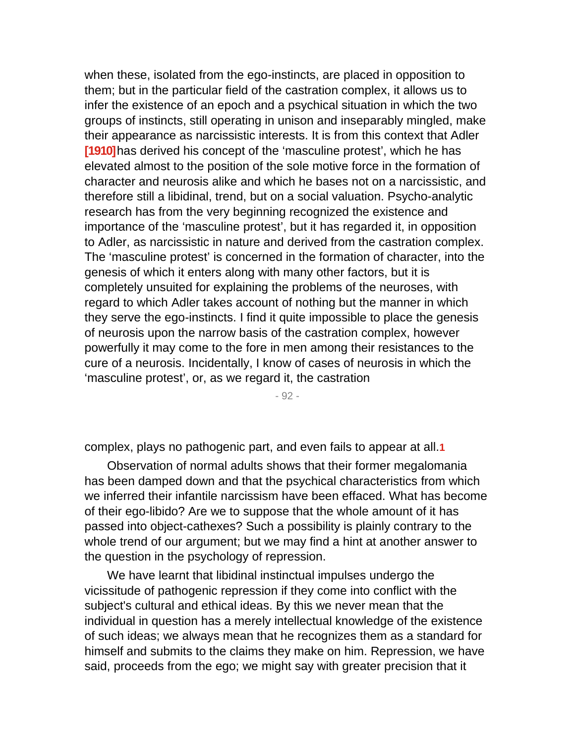when these, isolated from the ego-instincts, are placed in opposition to them; but in the particular field of the castration complex, it allows us to infer the existence of an epoch and a psychical situation in which the two groups of instincts, still operating in unison and inseparably mingled, make their appearance as narcissistic interests. It is from this context that Adler **[1910]** has derived his concept of the 'masculine protest', which he has elevated almost to the position of the sole motive force in the formation of character and neurosis alike and which he bases not on a narcissistic, and therefore still a libidinal, trend, but on a social valuation. Psycho-analytic research has from the very beginning recognized the existence and importance of the 'masculine protest', but it has regarded it, in opposition to Adler, as narcissistic in nature and derived from the castration complex. The 'masculine protest' is concerned in the formation of character, into the genesis of which it enters along with many other factors, but it is completely unsuited for explaining the problems of the neuroses, with regard to which Adler takes account of nothing but the manner in which they serve the ego-instincts. I find it quite impossible to place the genesis of neurosis upon the narrow basis of the castration complex, however powerfully it may come to the fore in men among their resistances to the cure of a neurosis. Incidentally, I know of cases of neurosis in which the 'masculine protest', or, as we regard it, the castration

- 92 -

complex, plays no pathogenic part, and even fails to appear at all.**1**

Observation of normal adults shows that their former megalomania has been damped down and that the psychical characteristics from which we inferred their infantile narcissism have been effaced. What has become of their ego-libido? Are we to suppose that the whole amount of it has passed into object-cathexes? Such a possibility is plainly contrary to the whole trend of our argument; but we may find a hint at another answer to the question in the psychology of repression.

We have learnt that libidinal instinctual impulses undergo the vicissitude of pathogenic repression if they come into conflict with the subject's cultural and ethical ideas. By this we never mean that the individual in question has a merely intellectual knowledge of the existence of such ideas; we always mean that he recognizes them as a standard for himself and submits to the claims they make on him. Repression, we have said, proceeds from the ego; we might say with greater precision that it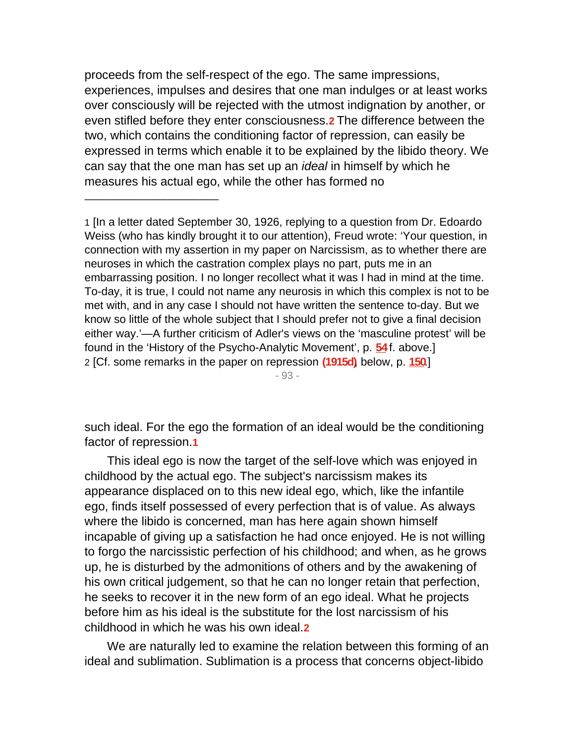proceeds from the self-respect of the ego. The same impressions, experiences, impulses and desires that one man indulges or at least works over consciously will be rejected with the utmost indignation by another, or even stifled before they enter consciousness.**2** The difference between the two, which contains the conditioning factor of repression, can easily be expressed in terms which enable it to be explained by the libido theory. We can say that the one man has set up an *ideal* in himself by which he measures his actual ego, while the other has formed no

—————————————

1 [In a letter dated September 30, 1926, replying to a question from Dr. Edoardo Weiss (who has kindly brought it to our attention), Freud wrote: 'Your question, in connection with my assertion in my paper on Narcissism, as to whether there are neuroses in which the castration complex plays no part, puts me in an embarrassing position. I no longer recollect what it was I had in mind at the time. To-day, it is true, I could not name any neurosis in which this complex is not to be met with, and in any case I should not have written the sentence to-day. But we know so little of the whole subject that I should prefer not to give a final decision either way.'—A further criticism of Adler's views on the 'masculine protest' will be found in the 'History of the Psycho-Analytic Movement', p. **[54](http://www.pep-web.org.libproxy.newschool.edu/document.php?id=se.014.0001a#p0054)** f. above.] 2 [Cf. some remarks in the paper on repression **(1915d)**, below, p. **[150](http://www.pep-web.org.libproxy.newschool.edu/document.php?id=se.014.0141a#p0150)**.]

- 93 -

such ideal. For the ego the formation of an ideal would be the conditioning factor of repression.**1**

This ideal ego is now the target of the self-love which was enjoyed in childhood by the actual ego. The subject's narcissism makes its appearance displaced on to this new ideal ego, which, like the infantile ego, finds itself possessed of every perfection that is of value. As always where the libido is concerned, man has here again shown himself incapable of giving up a satisfaction he had once enjoyed. He is not willing to forgo the narcissistic perfection of his childhood; and when, as he grows up, he is disturbed by the admonitions of others and by the awakening of his own critical judgement, so that he can no longer retain that perfection, he seeks to recover it in the new form of an ego ideal. What he projects before him as his ideal is the substitute for the lost narcissism of his childhood in which he was his own ideal.**2**

We are naturally led to examine the relation between this forming of an ideal and sublimation. Sublimation is a process that concerns object-libido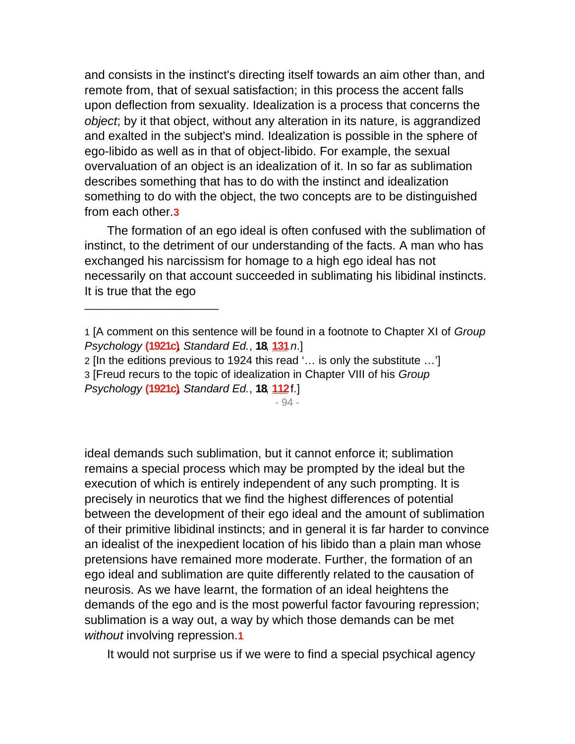and consists in the instinct's directing itself towards an aim other than, and remote from, that of sexual satisfaction; in this process the accent falls upon deflection from sexuality. Idealization is a process that concerns the object; by it that object, without any alteration in its nature, is aggrandized and exalted in the subject's mind. Idealization is possible in the sphere of ego-libido as well as in that of object-libido. For example, the sexual overvaluation of an object is an idealization of it. In so far as sublimation describes something that has to do with the instinct and idealization something to do with the object, the two concepts are to be distinguished from each other.**3**

The formation of an ego ideal is often confused with the sublimation of instinct, to the detriment of our understanding of the facts. A man who has exchanged his narcissism for homage to a high ego ideal has not necessarily on that account succeeded in sublimating his libidinal instincts. It is true that the ego

- 1 [A comment on this sentence will be found in a footnote to Chapter XI of Group Psychology **(1921c)**, Standard Ed., **18**, **[131](http://www.pep-web.org.libproxy.newschool.edu/document.php?id=se.018.0065a#p0131)**n.]
- 2 [In the editions previous to 1924 this read '… is only the substitute …']
- 3 [Freud recurs to the topic of idealization in Chapter VIII of his Group

Psychology **(1921c)**, Standard Ed., **18**, **[112](http://www.pep-web.org.libproxy.newschool.edu/document.php?id=se.018.0065a#p0112)** f.]

—————————————

- 94 -

ideal demands such sublimation, but it cannot enforce it; sublimation remains a special process which may be prompted by the ideal but the execution of which is entirely independent of any such prompting. It is precisely in neurotics that we find the highest differences of potential between the development of their ego ideal and the amount of sublimation of their primitive libidinal instincts; and in general it is far harder to convince an idealist of the inexpedient location of his libido than a plain man whose pretensions have remained more moderate. Further, the formation of an ego ideal and sublimation are quite differently related to the causation of neurosis. As we have learnt, the formation of an ideal heightens the demands of the ego and is the most powerful factor favouring repression; sublimation is a way out, a way by which those demands can be met without involving repression.**1**

It would not surprise us if we were to find a special psychical agency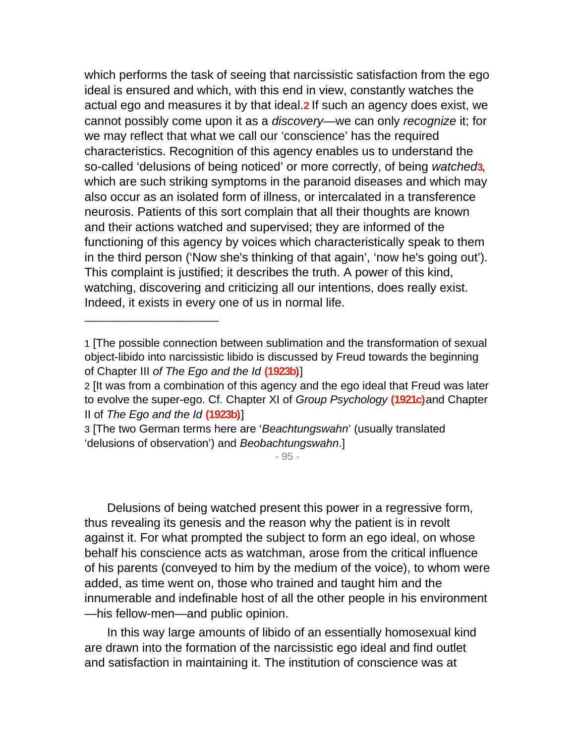which performs the task of seeing that narcissistic satisfaction from the ego ideal is ensured and which, with this end in view, constantly watches the actual ego and measures it by that ideal.**2** If such an agency does exist, we cannot possibly come upon it as a discovery—we can only recognize it; for we may reflect that what we call our 'conscience' has the required characteristics. Recognition of this agency enables us to understand the so-called 'delusions of being noticed' or more correctly, of being watched**3**, which are such striking symptoms in the paranoid diseases and which may also occur as an isolated form of illness, or intercalated in a transference neurosis. Patients of this sort complain that all their thoughts are known and their actions watched and supervised; they are informed of the functioning of this agency by voices which characteristically speak to them in the third person ('Now she's thinking of that again', 'now he's going out'). This complaint is justified; it describes the truth. A power of this kind, watching, discovering and criticizing all our intentions, does really exist. Indeed, it exists in every one of us in normal life.

—————————————

- 95 -

Delusions of being watched present this power in a regressive form, thus revealing its genesis and the reason why the patient is in revolt against it. For what prompted the subject to form an ego ideal, on whose behalf his conscience acts as watchman, arose from the critical influence of his parents (conveyed to him by the medium of the voice), to whom were added, as time went on, those who trained and taught him and the innumerable and indefinable host of all the other people in his environment —his fellow-men—and public opinion.

In this way large amounts of libido of an essentially homosexual kind are drawn into the formation of the narcissistic ego ideal and find outlet and satisfaction in maintaining it. The institution of conscience was at

<sup>1</sup> [The possible connection between sublimation and the transformation of sexual object-libido into narcissistic libido is discussed by Freud towards the beginning of Chapter III of The Ego and the Id **(1923b)**.]

<sup>2</sup> [It was from a combination of this agency and the ego ideal that Freud was later to evolve the super-ego. Cf. Chapter XI of Group Psychology **(1921c)** and Chapter II of The Ego and the Id **(1923b)**.]

<sup>3 [</sup>The two German terms here are 'Beachtungswahn' (usually translated 'delusions of observation') and Beobachtungswahn.]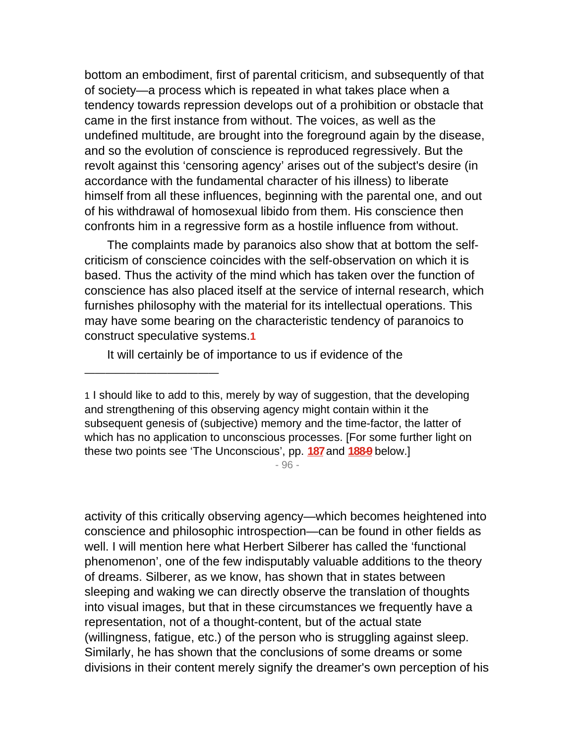bottom an embodiment, first of parental criticism, and subsequently of that of society—a process which is repeated in what takes place when a tendency towards repression develops out of a prohibition or obstacle that came in the first instance from without. The voices, as well as the undefined multitude, are brought into the foreground again by the disease, and so the evolution of conscience is reproduced regressively. But the revolt against this 'censoring agency' arises out of the subject's desire (in accordance with the fundamental character of his illness) to liberate himself from all these influences, beginning with the parental one, and out of his withdrawal of homosexual libido from them. His conscience then confronts him in a regressive form as a hostile influence from without.

The complaints made by paranoics also show that at bottom the selfcriticism of conscience coincides with the self-observation on which it is based. Thus the activity of the mind which has taken over the function of conscience has also placed itself at the service of internal research, which furnishes philosophy with the material for its intellectual operations. This may have some bearing on the characteristic tendency of paranoics to construct speculative systems.**1**

It will certainly be of importance to us if evidence of the

—————————————

- 96 -

activity of this critically observing agency—which becomes heightened into conscience and philosophic introspection—can be found in other fields as well. I will mention here what Herbert Silberer has called the 'functional phenomenon', one of the few indisputably valuable additions to the theory of dreams. Silberer, as we know, has shown that in states between sleeping and waking we can directly observe the translation of thoughts into visual images, but that in these circumstances we frequently have a representation, not of a thought-content, but of the actual state (willingness, fatigue, etc.) of the person who is struggling against sleep. Similarly, he has shown that the conclusions of some dreams or some divisions in their content merely signify the dreamer's own perception of his

<sup>1</sup> I should like to add to this, merely by way of suggestion, that the developing and strengthening of this observing agency might contain within it the subsequent genesis of (subjective) memory and the time-factor, the latter of which has no application to unconscious processes. [For some further light on these two points see 'The Unconscious', pp. **[187](http://www.pep-web.org.libproxy.newschool.edu/document.php?id=se.014.0159a#p0187)** and **[188-9](http://www.pep-web.org.libproxy.newschool.edu/document.php?id=se.014.0159a#p0188)** below.]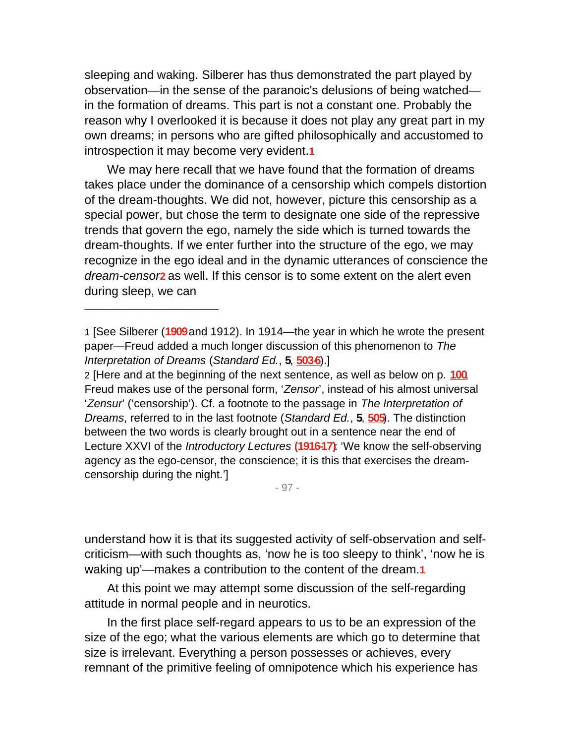sleeping and waking. Silberer has thus demonstrated the part played by observation—in the sense of the paranoic's delusions of being watched in the formation of dreams. This part is not a constant one. Probably the reason why I overlooked it is because it does not play any great part in my own dreams; in persons who are gifted philosophically and accustomed to introspection it may become very evident.**1**

We may here recall that we have found that the formation of dreams takes place under the dominance of a censorship which compels distortion of the dream-thoughts. We did not, however, picture this censorship as a special power, but chose the term to designate one side of the repressive trends that govern the ego, namely the side which is turned towards the dream-thoughts. If we enter further into the structure of the ego, we may recognize in the ego ideal and in the dynamic utterances of conscience the dream-censor**2** as well. If this censor is to some extent on the alert even during sleep, we can

—————————————

2 [Here and at the beginning of the next sentence, as well as below on p. **[100](http://www.pep-web.org.libproxy.newschool.edu/document.php?id=se.014.0067a#p0100)**, Freud makes use of the personal form, 'Zensor', instead of his almost universal 'Zensur' ('censorship'). Cf. a footnote to the passage in The Interpretation of Dreams, referred to in the last footnote (Standard Ed., **5**, **[505](http://www.pep-web.org.libproxy.newschool.edu/document.php?id=se.004.r0009a#p0505)**). The distinction between the two words is clearly brought out in a sentence near the end of Lecture XXVI of the Introductory Lectures **(1916-17)**: 'We know the self-observing agency as the ego-censor, the conscience; it is this that exercises the dreamcensorship during the night.']

- 97 -

understand how it is that its suggested activity of self-observation and selfcriticism—with such thoughts as, 'now he is too sleepy to think', 'now he is waking up'—makes a contribution to the content of the dream.**1**

At this point we may attempt some discussion of the self-regarding attitude in normal people and in neurotics.

In the first place self-regard appears to us to be an expression of the size of the ego; what the various elements are which go to determine that size is irrelevant. Everything a person possesses or achieves, every remnant of the primitive feeling of omnipotence which his experience has

<sup>1</sup> [See Silberer (**1909** and 1912). In 1914—the year in which he wrote the present paper—Freud added a much longer discussion of this phenomenon to The Interpretation of Dreams (Standard Ed., **5**, **[503-6](http://www.pep-web.org.libproxy.newschool.edu/document.php?id=se.004.r0009a#p0503)**).]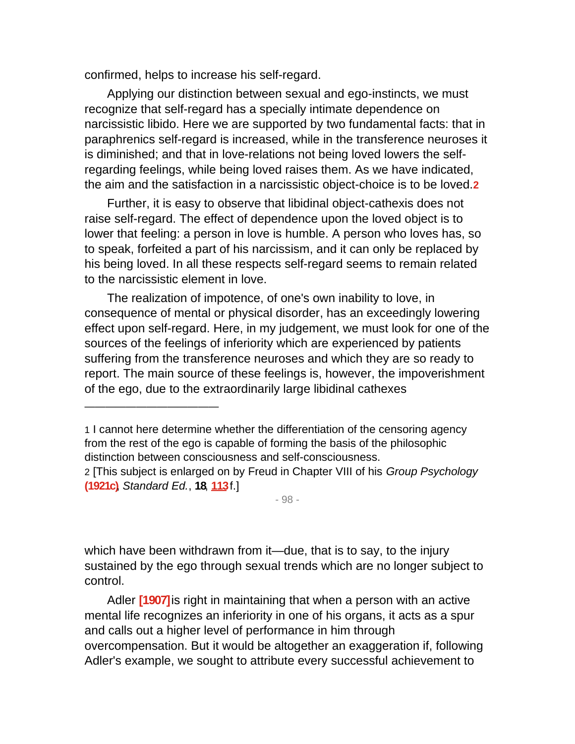confirmed, helps to increase his self-regard.

—————————————

Applying our distinction between sexual and ego-instincts, we must recognize that self-regard has a specially intimate dependence on narcissistic libido. Here we are supported by two fundamental facts: that in paraphrenics self-regard is increased, while in the transference neuroses it is diminished; and that in love-relations not being loved lowers the selfregarding feelings, while being loved raises them. As we have indicated, the aim and the satisfaction in a narcissistic object-choice is to be loved.**2**

Further, it is easy to observe that libidinal object-cathexis does not raise self-regard. The effect of dependence upon the loved object is to lower that feeling: a person in love is humble. A person who loves has, so to speak, forfeited a part of his narcissism, and it can only be replaced by his being loved. In all these respects self-regard seems to remain related to the narcissistic element in love.

The realization of impotence, of one's own inability to love, in consequence of mental or physical disorder, has an exceedingly lowering effect upon self-regard. Here, in my judgement, we must look for one of the sources of the feelings of inferiority which are experienced by patients suffering from the transference neuroses and which they are so ready to report. The main source of these feelings is, however, the impoverishment of the ego, due to the extraordinarily large libidinal cathexes

1 I cannot here determine whether the differentiation of the censoring agency from the rest of the ego is capable of forming the basis of the philosophic distinction between consciousness and self-consciousness.

- 98 -

which have been withdrawn from it—due, that is to say, to the injury sustained by the ego through sexual trends which are no longer subject to control.

Adler **[1907]** is right in maintaining that when a person with an active mental life recognizes an inferiority in one of his organs, it acts as a spur and calls out a higher level of performance in him through overcompensation. But it would be altogether an exaggeration if, following Adler's example, we sought to attribute every successful achievement to

<sup>2 [</sup>This subject is enlarged on by Freud in Chapter VIII of his Group Psychology **(1921c)**, Standard Ed., **18**, **[113](http://www.pep-web.org.libproxy.newschool.edu/document.php?id=se.018.0065a#p0113)** f.]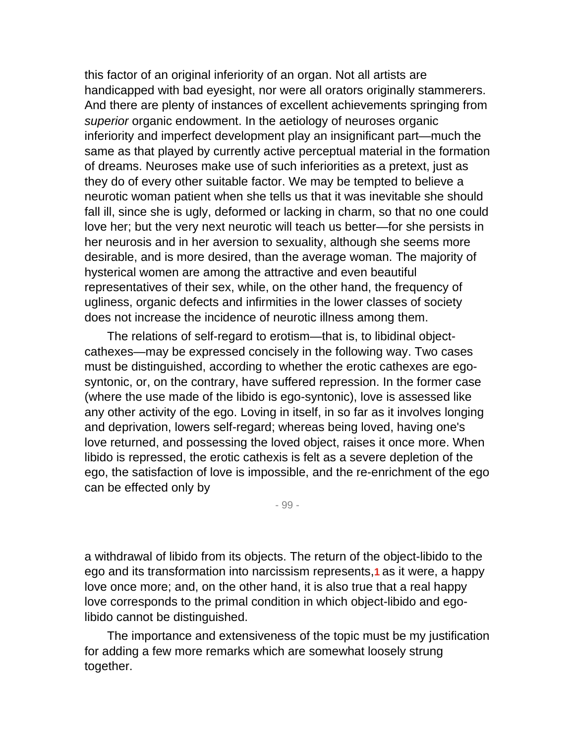this factor of an original inferiority of an organ. Not all artists are handicapped with bad eyesight, nor were all orators originally stammerers. And there are plenty of instances of excellent achievements springing from superior organic endowment. In the aetiology of neuroses organic inferiority and imperfect development play an insignificant part—much the same as that played by currently active perceptual material in the formation of dreams. Neuroses make use of such inferiorities as a pretext, just as they do of every other suitable factor. We may be tempted to believe a neurotic woman patient when she tells us that it was inevitable she should fall ill, since she is ugly, deformed or lacking in charm, so that no one could love her; but the very next neurotic will teach us better—for she persists in her neurosis and in her aversion to sexuality, although she seems more desirable, and is more desired, than the average woman. The majority of hysterical women are among the attractive and even beautiful representatives of their sex, while, on the other hand, the frequency of ugliness, organic defects and infirmities in the lower classes of society does not increase the incidence of neurotic illness among them.

The relations of self-regard to erotism—that is, to libidinal objectcathexes—may be expressed concisely in the following way. Two cases must be distinguished, according to whether the erotic cathexes are egosyntonic, or, on the contrary, have suffered repression. In the former case (where the use made of the libido is ego-syntonic), love is assessed like any other activity of the ego. Loving in itself, in so far as it involves longing and deprivation, lowers self-regard; whereas being loved, having one's love returned, and possessing the loved object, raises it once more. When libido is repressed, the erotic cathexis is felt as a severe depletion of the ego, the satisfaction of love is impossible, and the re-enrichment of the ego can be effected only by

- 99 -

a withdrawal of libido from its objects. The return of the object-libido to the ego and its transformation into narcissism represents,**1** as it were, a happy love once more; and, on the other hand, it is also true that a real happy love corresponds to the primal condition in which object-libido and egolibido cannot be distinguished.

The importance and extensiveness of the topic must be my justification for adding a few more remarks which are somewhat loosely strung together.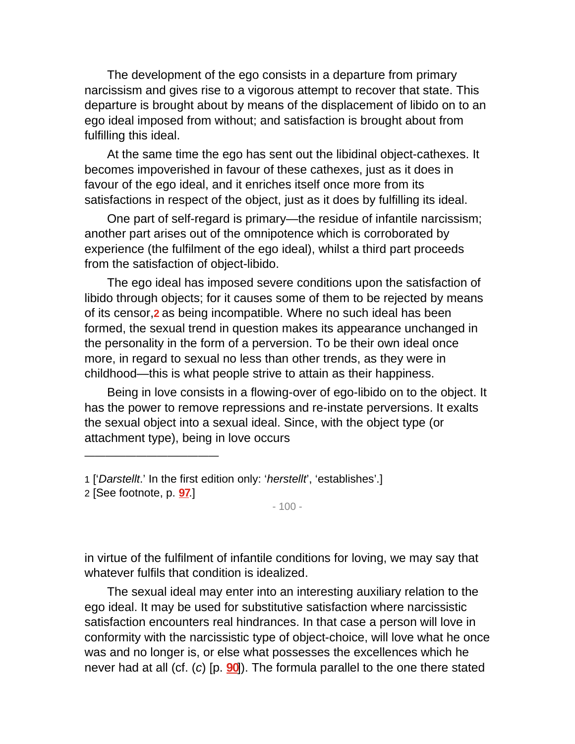The development of the ego consists in a departure from primary narcissism and gives rise to a vigorous attempt to recover that state. This departure is brought about by means of the displacement of libido on to an ego ideal imposed from without; and satisfaction is brought about from fulfilling this ideal.

At the same time the ego has sent out the libidinal object-cathexes. It becomes impoverished in favour of these cathexes, just as it does in favour of the ego ideal, and it enriches itself once more from its satisfactions in respect of the object, just as it does by fulfilling its ideal.

One part of self-regard is primary—the residue of infantile narcissism; another part arises out of the omnipotence which is corroborated by experience (the fulfilment of the ego ideal), whilst a third part proceeds from the satisfaction of object-libido.

The ego ideal has imposed severe conditions upon the satisfaction of libido through objects; for it causes some of them to be rejected by means of its censor,**2** as being incompatible. Where no such ideal has been formed, the sexual trend in question makes its appearance unchanged in the personality in the form of a perversion. To be their own ideal once more, in regard to sexual no less than other trends, as they were in childhood—this is what people strive to attain as their happiness.

Being in love consists in a flowing-over of ego-libido on to the object. It has the power to remove repressions and re-instate perversions. It exalts the sexual object into a sexual ideal. Since, with the object type (or attachment type), being in love occurs

—————————————

 $-100 -$ 

in virtue of the fulfilment of infantile conditions for loving, we may say that whatever fulfils that condition is idealized.

The sexual ideal may enter into an interesting auxiliary relation to the ego ideal. It may be used for substitutive satisfaction where narcissistic satisfaction encounters real hindrances. In that case a person will love in conformity with the narcissistic type of object-choice, will love what he once was and no longer is, or else what possesses the excellences which he never had at all (cf. (c) [p. **[90](http://www.pep-web.org.libproxy.newschool.edu/document.php?id=se.014.0067a#p0090)**]). The formula parallel to the one there stated

<sup>1 [&#</sup>x27;Darstellt.' In the first edition only: 'herstellt', 'establishes'.]

<sup>2</sup> [See footnote, p. **[97](http://www.pep-web.org.libproxy.newschool.edu/document.php?id=se.014.0067a#p0097)**.]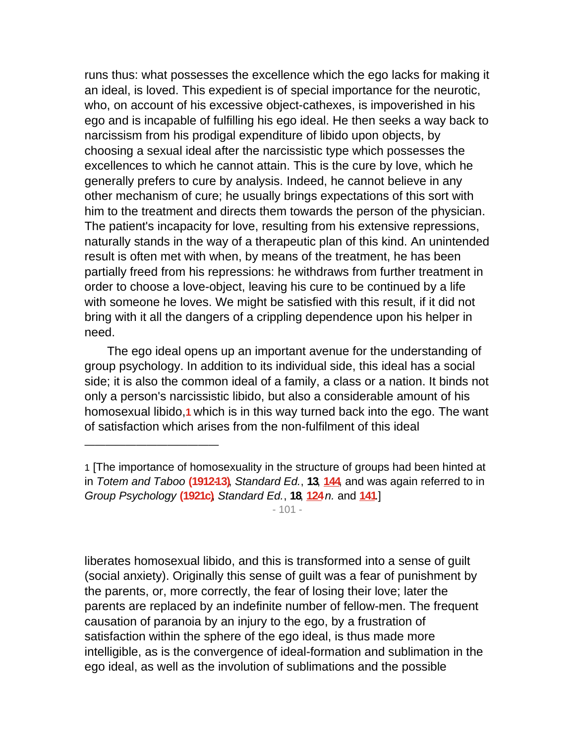runs thus: what possesses the excellence which the ego lacks for making it an ideal, is loved. This expedient is of special importance for the neurotic, who, on account of his excessive object-cathexes, is impoverished in his ego and is incapable of fulfilling his ego ideal. He then seeks a way back to narcissism from his prodigal expenditure of libido upon objects, by choosing a sexual ideal after the narcissistic type which possesses the excellences to which he cannot attain. This is the cure by love, which he generally prefers to cure by analysis. Indeed, he cannot believe in any other mechanism of cure; he usually brings expectations of this sort with him to the treatment and directs them towards the person of the physician. The patient's incapacity for love, resulting from his extensive repressions, naturally stands in the way of a therapeutic plan of this kind. An unintended result is often met with when, by means of the treatment, he has been partially freed from his repressions: he withdraws from further treatment in order to choose a love-object, leaving his cure to be continued by a life with someone he loves. We might be satisfied with this result, if it did not bring with it all the dangers of a crippling dependence upon his helper in need.

The ego ideal opens up an important avenue for the understanding of group psychology. In addition to its individual side, this ideal has a social side; it is also the common ideal of a family, a class or a nation. It binds not only a person's narcissistic libido, but also a considerable amount of his homosexual libido,**1** which is in this way turned back into the ego. The want of satisfaction which arises from the non-fulfilment of this ideal

—————————————

 $-101 -$ 

liberates homosexual libido, and this is transformed into a sense of guilt (social anxiety). Originally this sense of guilt was a fear of punishment by the parents, or, more correctly, the fear of losing their love; later the parents are replaced by an indefinite number of fellow-men. The frequent causation of paranoia by an injury to the ego, by a frustration of satisfaction within the sphere of the ego ideal, is thus made more intelligible, as is the convergence of ideal-formation and sublimation in the ego ideal, as well as the involution of sublimations and the possible

<sup>1</sup> [The importance of homosexuality in the structure of groups had been hinted at in Totem and Taboo **(1912-13)**, Standard Ed., **13**, **[144](http://www.pep-web.org.libproxy.newschool.edu/document.php?id=se.011.0139a#p0144)**, and was again referred to in Group Psychology **(1921c)**, Standard Ed., **18**, **[124](http://www.pep-web.org.libproxy.newschool.edu/document.php?id=se.018.0065a#p0124)**n. and **[141](http://www.pep-web.org.libproxy.newschool.edu/document.php?id=se.018.0065a#p0141)**.]